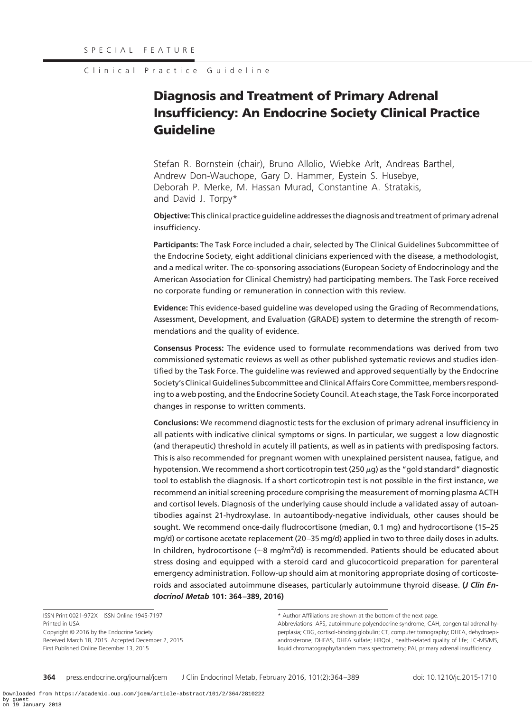# **Diagnosis and Treatment of Primary Adrenal Insufficiency: An Endocrine Society Clinical Practice Guideline**

Stefan R. Bornstein (chair), Bruno Allolio, Wiebke Arlt, Andreas Barthel, Andrew Don-Wauchope, Gary D. Hammer, Eystein S. Husebye, Deborah P. Merke, M. Hassan Murad, Constantine A. Stratakis, and David J. Torpy\*

**Objective:** This clinical practice guideline addresses the diagnosis and treatment of primary adrenal insufficiency.

**Participants:** The Task Force included a chair, selected by The Clinical Guidelines Subcommittee of the Endocrine Society, eight additional clinicians experienced with the disease, a methodologist, and a medical writer. The co-sponsoring associations (European Society of Endocrinology and the American Association for Clinical Chemistry) had participating members. The Task Force received no corporate funding or remuneration in connection with this review.

**Evidence:** This evidence-based guideline was developed using the Grading of Recommendations, Assessment, Development, and Evaluation (GRADE) system to determine the strength of recommendations and the quality of evidence.

**Consensus Process:** The evidence used to formulate recommendations was derived from two commissioned systematic reviews as well as other published systematic reviews and studies identified by the Task Force. The guideline was reviewed and approved sequentially by the Endocrine Society's Clinical Guidelines Subcommittee and Clinical Affairs Core Committee, members responding to a web posting, and the Endocrine Society Council. At each stage, the Task Force incorporated changes in response to written comments.

**Conclusions:** We recommend diagnostic tests for the exclusion of primary adrenal insufficiency in all patients with indicative clinical symptoms or signs. In particular, we suggest a low diagnostic (and therapeutic) threshold in acutely ill patients, as well as in patients with predisposing factors. This is also recommended for pregnant women with unexplained persistent nausea, fatigue, and hypotension. We recommend a short corticotropin test (250  $\mu$ g) as the "gold standard" diagnostic tool to establish the diagnosis. If a short corticotropin test is not possible in the first instance, we recommend an initial screening procedure comprising the measurement of morning plasma ACTH and cortisol levels. Diagnosis of the underlying cause should include a validated assay of autoantibodies against 21-hydroxylase. In autoantibody-negative individuals, other causes should be sought. We recommend once-daily fludrocortisone (median, 0.1 mg) and hydrocortisone (15–25 mg/d) or cortisone acetate replacement (20 –35 mg/d) applied in two to three daily doses in adults. In children, hydrocortisone (~8 mg/m<sup>2</sup>/d) is recommended. Patients should be educated about stress dosing and equipped with a steroid card and glucocorticoid preparation for parenteral emergency administration. Follow-up should aim at monitoring appropriate dosing of corticosteroids and associated autoimmune diseases, particularly autoimmune thyroid disease. **(***J Clin Endocrinol Metab* **101: 364 –389, 2016)**

ISSN Print 0021-972X ISSN Online 1945-7197 Printed in USA Copyright © 2016 by the Endocrine Society Received March 18, 2015. Accepted December 2, 2015. First Published Online December 13, 2015

\* Author Affiliations are shown at the bottom of the next page. Abbreviations: APS, autoimmune polyendocrine syndrome; CAH, congenital adrenal hyperplasia; CBG, cortisol-binding globulin; CT, computer tomography; DHEA, dehydroepiandrosterone; DHEAS, DHEA sulfate; HRQoL, health-related quality of life; LC-MS/MS, liquid chromatography/tandem mass spectrometry; PAI, primary adrenal insufficiency.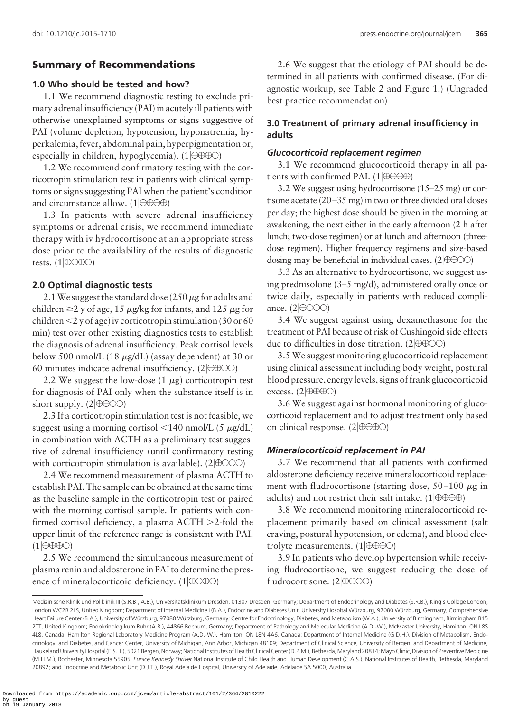# **Summary of Recommendations**

# **1.0 Who should be tested and how?**

1.1 We recommend diagnostic testing to exclude primary adrenal insufficiency (PAI) in acutely ill patients with otherwise unexplained symptoms or signs suggestive of PAI (volume depletion, hypotension, hyponatremia, hyperkalemia, fever, abdominal pain, hyperpigmentation or, especially in children, hypoglycemia). (1|0000)

1.2 We recommend confirmatory testing with the corticotropin stimulation test in patients with clinical symptoms or signs suggesting PAI when the patient's condition and circumstance allow.  $(1|\text{min})$ 

1.3 In patients with severe adrenal insufficiency symptoms or adrenal crisis, we recommend immediate therapy with iv hydrocortisone at an appropriate stress dose prior to the availability of the results of diagnostic tests.  $(1|\oplus \oplus \oplus \odot)$ 

### **2.0 Optimal diagnostic tests**

2.1 We suggest the standard dose (250  $\mu$ g for adults and children  $\geq$  2 y of age, 15  $\mu$ g/kg for infants, and 125  $\mu$ g for children  $\leq$ 2 y of age) iv corticotropin stimulation (30 or 60 min) test over other existing diagnostics tests to establish the diagnosis of adrenal insufficiency. Peak cortisol levels below 500 nmol/L (18 µg/dL) (assay dependent) at 30 or 60 minutes indicate adrenal insufficiency.  $(2|\text{O}\text{O}\text{O})$ 

2.2 We suggest the low-dose  $(1 \mu g)$  corticotropin test for diagnosis of PAI only when the substance itself is in short supply. (2 0000)

2.3 If a corticotropin stimulation test is not feasible, we suggest using a morning cortisol  $\langle 140 \text{ nmol/L}$  (5  $\mu\text{g/dL}$ ) in combination with ACTH as a preliminary test suggestive of adrenal insufficiency (until confirmatory testing with corticotropin stimulation is available).  $(2|\oplus$ OOO)

2.4 We recommend measurement of plasma ACTH to establish PAI. The sample can be obtained at the same time as the baseline sample in the corticotropin test or paired with the morning cortisol sample. In patients with confirmed cortisol deficiency, a plasma  $\text{ACTH} > 2\text{-fold}$  the upper limit of the reference range is consistent with PAI.  $(1|\oplus\oplus\oplus\bigcirc)$ 

2.5 We recommend the simultaneous measurement of plasma renin and aldosterone in PAI to determine the presence of mineralocorticoid deficiency. (1|OOOO)

2.6 We suggest that the etiology of PAI should be determined in all patients with confirmed disease. (For diagnostic workup, see Table 2 and Figure 1.) (Ungraded best practice recommendation)

# **3.0 Treatment of primary adrenal insufficiency in adults**

### *Glucocorticoid replacement regimen*

3.1 We recommend glucocorticoid therapy in all patients with confirmed PAI. (1<sup>00000)</sup>

3.2 We suggest using hydrocortisone (15–25 mg) or cortisone acetate (20 –35 mg) in two or three divided oral doses per day; the highest dose should be given in the morning at awakening, the next either in the early afternoon (2 h after lunch; two-dose regimen) or at lunch and afternoon (threedose regimen). Higher frequency regimens and size-based dosing may be beneficial in individual cases. (2 OOO)

3.3 As an alternative to hydrocortisone, we suggest using prednisolone (3–5 mg/d), administered orally once or twice daily, especially in patients with reduced compliance.  $(2|\oplus\!\circledcirc\!\circledcirc)$ 

3.4 We suggest against using dexamethasone for the treatment of PAI because of risk of Cushingoid side effects due to difficulties in dose titration.  $(2|\text{O}\text{O}\text{O})$ 

3.5 We suggest monitoring glucocorticoid replacement using clinical assessment including body weight, postural blood pressure, energy levels, signs of frank glucocorticoid excess. (2<sup>|</sup>OOO)

3.6 We suggest against hormonal monitoring of glucocorticoid replacement and to adjust treatment only based on clinical response. (2 OOO)

### *Mineralocorticoid replacement in PAI*

3.7 We recommend that all patients with confirmed aldosterone deficiency receive mineralocorticoid replacement with fludrocortisone (starting dose,  $50-100 \mu$ g in adults) and not restrict their salt intake.  $(1|\text{D}\text{D}\text{D}\text{D})$ 

3.8 We recommend monitoring mineralocorticoid replacement primarily based on clinical assessment (salt craving, postural hypotension, or edema), and blood electrolyte measurements. (1|0000)

3.9 In patients who develop hypertension while receiving fludrocortisone, we suggest reducing the dose of fludrocortisone. (2|0000)

Downloaded from https://academic.oup.com/jcem/article-abstract/101/2/364/2810222 by guest on 19 January 2018

Medizinische Klinik und Poliklinik III (S.R.B., A.B.), Universitätsklinikum Dresden, 01307 Dresden, Germany; Department of Endocrinology and Diabetes (S.R.B.), King's College London, London WC2R 2LS, United Kingdom; Department of Internal Medicine I (B.A.), Endocrine and Diabetes Unit, University Hospital Würzburg, 97080 Würzburg, Germany; Comprehensive Heart Failure Center (B.A.), University of Würzburg, 97080 Würzburg, Germany; Centre for Endocrinology, Diabetes, and Metabolism (W.A.), University of Birmingham, Birmingham B15 2TT, United Kingdom; Endokrinologikum Ruhr (A.B.), 44866 Bochum, Germany; Department of Pathology and Molecular Medicine (A.D.-W.), McMaster University, Hamilton, ON L8S 4L8, Canada; Hamilton Regional Laboratory Medicine Program (A.D.-W.), Hamilton, ON L8N 4A6, Canada; Department of Internal Medicine (G.D.H.), Division of Metabolism, Endocrinology, and Diabetes, and Cancer Center, University of Michigan, Ann Arbor, Michigan 48109; Department of Clinical Science, University of Bergen, and Department of Medicine, Haukeland University Hospital (E.S.H.), 5021 Bergen, Norway; National Institutes of Health Clinical Center (D.P.M.), Bethesda, Maryland 20814; Mayo Clinic, Division of Preventive Medicine (M.H.M.), Rochester, Minnesota 55905; *Eunice Kennedy Shriver* National Institute of Child Health and Human Development (C.A.S.), National Institutes of Health, Bethesda, Maryland 20892; and Endocrine and Metabolic Unit (D.J.T.), Royal Adelaide Hospital, University of Adelaide, Adelaide SA 5000, Australia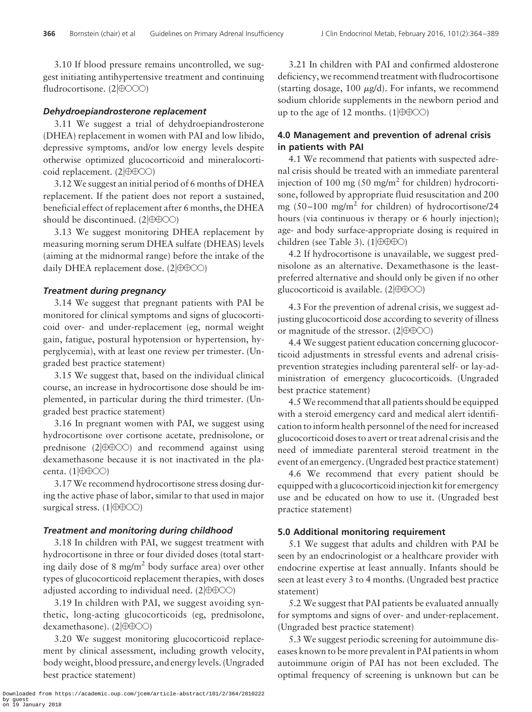3.10 If blood pressure remains uncontrolled, we suggest initiating antihypertensive treatment and continuing fludrocortisone. (2|0000)

### *Dehydroepiandrosterone replacement*

3.11 We suggest a trial of dehydroepiandrosterone (DHEA) replacement in women with PAI and low libido, depressive symptoms, and/or low energy levels despite otherwise optimized glucocorticoid and mineralocorticoid replacement. (2 OOO)

3.12 We suggest an initial period of 6 months of DHEA replacement. If the patient does not report a sustained, beneficial effect of replacement after 6 months, the DHEA should be discontinued. (2<sup>00000</sup>)

3.13 We suggest monitoring DHEA replacement by measuring morning serum DHEA sulfate (DHEAS) levels (aiming at the midnormal range) before the intake of the daily DHEA replacement dose. (2 0000)

### *Treatment during pregnancy*

3.14 We suggest that pregnant patients with PAI be monitored for clinical symptoms and signs of glucocorticoid over- and under-replacement (eg, normal weight gain, fatigue, postural hypotension or hypertension, hyperglycemia), with at least one review per trimester. (Ungraded best practice statement)

3.15 We suggest that, based on the individual clinical course, an increase in hydrocortisone dose should be implemented, in particular during the third trimester. (Ungraded best practice statement)

3.16 In pregnant women with PAI, we suggest using hydrocortisone over cortisone acetate, prednisolone, or prednisone (2<sup>|</sup>OOO) and recommend against using dexamethasone because it is not inactivated in the placenta.  $(1|\oplus \oplus \odot \odot)$ 

3.17 We recommend hydrocortisone stress dosing during the active phase of labor, similar to that used in major surgical stress. (1|0000)

### *Treatment and monitoring during childhood*

3.18 In children with PAI, we suggest treatment with hydrocortisone in three or four divided doses (total starting daily dose of 8 mg/m<sup>2</sup> body surface area) over other types of glucocorticoid replacement therapies, with doses adjusted according to individual need.  $(2|\text{O}\text{O}\text{O})$ 

3.19 In children with PAI, we suggest avoiding synthetic, long-acting glucocorticoids (eg, prednisolone, dexamethasone). (2 OOO)

3.20 We suggest monitoring glucocorticoid replacement by clinical assessment, including growth velocity, body weight, blood pressure, and energy levels. (Ungraded best practice statement)

3.21 In children with PAI and confirmed aldosterone deficiency, we recommend treatment with fludrocortisone (starting dosage,  $100 \mu g/d$ ). For infants, we recommend sodium chloride supplements in the newborn period and up to the age of 12 months.  $(1|\oplus \oplus \odot \odot)$ 

### **4.0 Management and prevention of adrenal crisis in patients with PAI**

4.1 We recommend that patients with suspected adrenal crisis should be treated with an immediate parenteral injection of 100 mg (50 mg/m<sup>2</sup> for children) hydrocortisone, followed by appropriate fluid resuscitation and 200 mg  $(50-100 \text{ mg/m}^2 \text{ for children})$  of hydrocortisone/24 hours (via continuous iv therapy or 6 hourly injection); age- and body surface-appropriate dosing is required in children (see Table 3). (1<sup>|</sup>OOO)

4.2 If hydrocortisone is unavailable, we suggest prednisolone as an alternative. Dexamethasone is the leastpreferred alternative and should only be given if no other glucocorticoid is available. (2 OOO)

4.3 For the prevention of adrenal crisis, we suggest adjusting glucocorticoid dose according to severity of illness or magnitude of the stressor. (2 0000)

4.4 We suggest patient education concerning glucocorticoid adjustments in stressful events and adrenal crisisprevention strategies including parenteral self- or lay-administration of emergency glucocorticoids. (Ungraded best practice statement)

4.5We recommend that all patients should be equipped with a steroid emergency card and medical alert identification to inform health personnel of the need for increased glucocorticoid doses to avert or treat adrenal crisis and the need of immediate parenteral steroid treatment in the event of an emergency. (Ungraded best practice statement)

4.6 We recommend that every patient should be equipped with a glucocorticoid injection kit for emergency use and be educated on how to use it. (Ungraded best practice statement)

### **5.0 Additional monitoring requirement**

5.1 We suggest that adults and children with PAI be seen by an endocrinologist or a healthcare provider with endocrine expertise at least annually. Infants should be seen at least every 3 to 4 months. (Ungraded best practice statement)

5.2 We suggest that PAI patients be evaluated annually for symptoms and signs of over- and under-replacement. (Ungraded best practice statement)

5.3 We suggest periodic screening for autoimmune diseases known to be more prevalent in PAI patients in whom autoimmune origin of PAI has not been excluded. The optimal frequency of screening is unknown but can be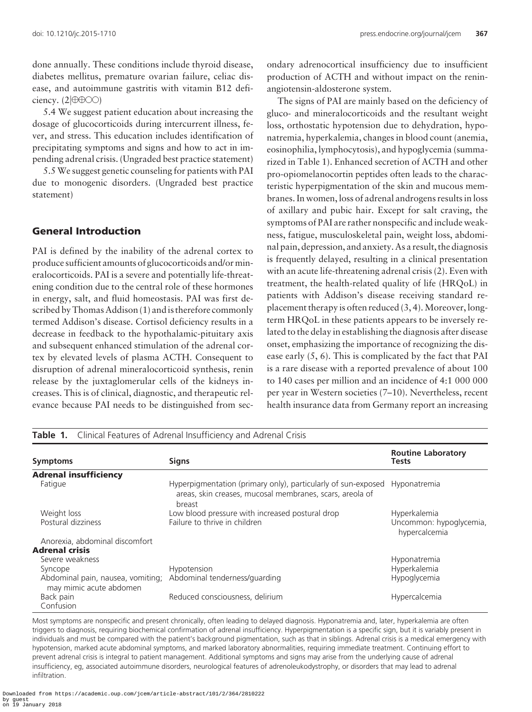done annually. These conditions include thyroid disease, diabetes mellitus, premature ovarian failure, celiac disease, and autoimmune gastritis with vitamin B12 deficiency. (2|0000)

5.4 We suggest patient education about increasing the dosage of glucocorticoids during intercurrent illness, fever, and stress. This education includes identification of precipitating symptoms and signs and how to act in impending adrenal crisis. (Ungraded best practice statement)

5.5 We suggest genetic counseling for patients with PAI due to monogenic disorders. (Ungraded best practice statement)

# **General Introduction**

PAI is defined by the inability of the adrenal cortex to produce sufficient amounts of glucocorticoids and/or mineralocorticoids. PAI is a severe and potentially life-threatening condition due to the central role of these hormones in energy, salt, and fluid homeostasis. PAI was first described by Thomas Addison (1) and is therefore commonly termed Addison's disease. Cortisol deficiency results in a decrease in feedback to the hypothalamic-pituitary axis and subsequent enhanced stimulation of the adrenal cortex by elevated levels of plasma ACTH. Consequent to disruption of adrenal mineralocorticoid synthesis, renin release by the juxtaglomerular cells of the kidneys increases. This is of clinical, diagnostic, and therapeutic relevance because PAI needs to be distinguished from sec-

ondary adrenocortical insufficiency due to insufficient production of ACTH and without impact on the reninangiotensin-aldosterone system.

The signs of PAI are mainly based on the deficiency of gluco- and mineralocorticoids and the resultant weight loss, orthostatic hypotension due to dehydration, hyponatremia, hyperkalemia, changes in blood count (anemia, eosinophilia, lymphocytosis), and hypoglycemia (summarized in Table 1). Enhanced secretion of ACTH and other pro-opiomelanocortin peptides often leads to the characteristic hyperpigmentation of the skin and mucous membranes. In women, loss of adrenal androgens results in loss of axillary and pubic hair. Except for salt craving, the symptoms of PAI are rather nonspecific and include weakness, fatigue, musculoskeletal pain, weight loss, abdominal pain, depression, and anxiety. As a result, the diagnosis is frequently delayed, resulting in a clinical presentation with an acute life-threatening adrenal crisis (2). Even with treatment, the health-related quality of life (HRQoL) in patients with Addison's disease receiving standard replacement therapy is often reduced  $(3, 4)$ . Moreover, longterm HRQoL in these patients appears to be inversely related to the delay in establishing the diagnosis after disease onset, emphasizing the importance of recognizing the disease early (5, 6). This is complicated by the fact that PAI is a rare disease with a reported prevalence of about 100 to 140 cases per million and an incidence of 4:1 000 000 per year in Western societies (7–10). Nevertheless, recent health insurance data from Germany report an increasing

| <b>Symptoms</b>                                              | <b>Signs</b>                                                                                                                                     | <b>Routine Laboratory</b><br>Tests       |
|--------------------------------------------------------------|--------------------------------------------------------------------------------------------------------------------------------------------------|------------------------------------------|
| <b>Adrenal insufficiency</b>                                 |                                                                                                                                                  |                                          |
| Fatigue                                                      | Hyperpigmentation (primary only), particularly of sun-exposed Hyponatremia<br>areas, skin creases, mucosal membranes, scars, areola of<br>breast |                                          |
| Weight loss                                                  | Low blood pressure with increased postural drop                                                                                                  | Hyperkalemia                             |
| Postural dizziness                                           | Failure to thrive in children                                                                                                                    | Uncommon: hypoglycemia,<br>hypercalcemia |
| Anorexia, abdominal discomfort                               |                                                                                                                                                  |                                          |
| <b>Adrenal crisis</b>                                        |                                                                                                                                                  |                                          |
| Severe weakness                                              |                                                                                                                                                  | Hyponatremia                             |
| Syncope                                                      | Hypotension                                                                                                                                      | Hyperkalemia                             |
| Abdominal pain, nausea, vomiting;<br>may mimic acute abdomen | Abdominal tenderness/guarding                                                                                                                    | Hypoglycemia                             |
| Back pain<br>Confusion                                       | Reduced consciousness, delirium                                                                                                                  | Hypercalcemia                            |

| Table 1.<br>Clinical Features of Adrenal Insufficiency and Adrenal Crisis |  |
|---------------------------------------------------------------------------|--|
|---------------------------------------------------------------------------|--|

Most symptoms are nonspecific and present chronically, often leading to delayed diagnosis. Hyponatremia and, later, hyperkalemia are often triggers to diagnosis, requiring biochemical confirmation of adrenal insufficiency. Hyperpigmentation is a specific sign, but it is variably present in individuals and must be compared with the patient's background pigmentation, such as that in siblings. Adrenal crisis is a medical emergency with hypotension, marked acute abdominal symptoms, and marked laboratory abnormalities, requiring immediate treatment. Continuing effort to prevent adrenal crisis is integral to patient management. Additional symptoms and signs may arise from the underlying cause of adrenal insufficiency, eg, associated autoimmune disorders, neurological features of adrenoleukodystrophy, or disorders that may lead to adrenal infiltration.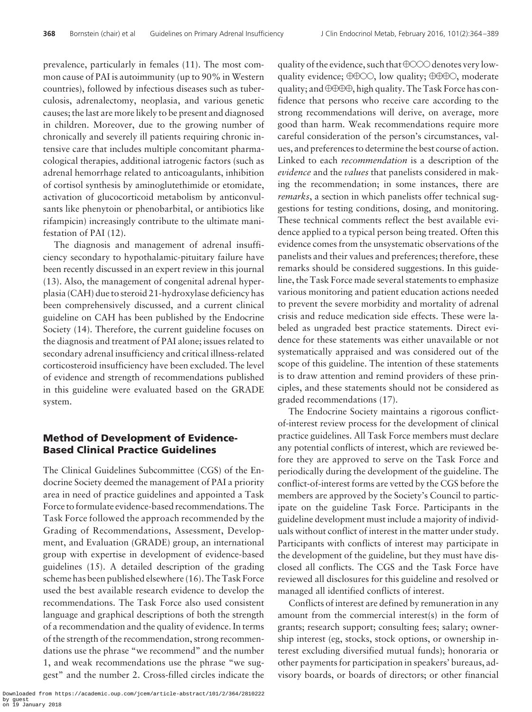prevalence, particularly in females (11). The most common cause of PAI is autoimmunity (up to 90% in Western countries), followed by infectious diseases such as tuberculosis, adrenalectomy, neoplasia, and various genetic causes; the last are more likely to be present and diagnosed in children. Moreover, due to the growing number of chronically and severely ill patients requiring chronic intensive care that includes multiple concomitant pharmacological therapies, additional iatrogenic factors (such as adrenal hemorrhage related to anticoagulants, inhibition of cortisol synthesis by aminoglutethimide or etomidate, activation of glucocorticoid metabolism by anticonvulsants like phenytoin or phenobarbital, or antibiotics like rifampicin) increasingly contribute to the ultimate manifestation of PAI (12).

The diagnosis and management of adrenal insufficiency secondary to hypothalamic-pituitary failure have been recently discussed in an expert review in this journal (13). Also, the management of congenital adrenal hyperplasia (CAH) due to steroid 21-hydroxylase deficiency has been comprehensively discussed, and a current clinical guideline on CAH has been published by the Endocrine Society (14). Therefore, the current guideline focuses on the diagnosis and treatment of PAI alone; issues related to secondary adrenal insufficiency and critical illness-related corticosteroid insufficiency have been excluded. The level of evidence and strength of recommendations published in this guideline were evaluated based on the GRADE system.

# **Method of Development of Evidence-Based Clinical Practice Guidelines**

The Clinical Guidelines Subcommittee (CGS) of the Endocrine Society deemed the management of PAI a priority area in need of practice guidelines and appointed a Task Force to formulate evidence-based recommendations. The Task Force followed the approach recommended by the Grading of Recommendations, Assessment, Development, and Evaluation (GRADE) group, an international group with expertise in development of evidence-based guidelines (15). A detailed description of the grading scheme has been published elsewhere (16). The Task Force used the best available research evidence to develop the recommendations. The Task Force also used consistent language and graphical descriptions of both the strength of a recommendation and the quality of evidence. In terms of the strength of the recommendation, strong recommendations use the phrase "we recommend" and the number 1, and weak recommendations use the phrase "we suggest" and the number 2. Cross-filled circles indicate the

quality of the evidence, such that  $\oplus$ OOO denotes very lowquality evidence;  $\Theta$  $\Theta$  $\circ$ O, low quality;  $\Theta$  $\Theta$  $\circ$ O, moderate quality; and  $\oplus \oplus \oplus$ , high quality. The Task Force has confidence that persons who receive care according to the strong recommendations will derive, on average, more good than harm. Weak recommendations require more careful consideration of the person's circumstances, values, and preferences to determine the best course of action. Linked to each *recommendation* is a description of the *evidence* and the *values* that panelists considered in making the recommendation; in some instances, there are *remarks*, a section in which panelists offer technical suggestions for testing conditions, dosing, and monitoring. These technical comments reflect the best available evidence applied to a typical person being treated. Often this evidence comes from the unsystematic observations of the panelists and their values and preferences; therefore, these remarks should be considered suggestions. In this guideline, the Task Force made several statements to emphasize various monitoring and patient education actions needed to prevent the severe morbidity and mortality of adrenal crisis and reduce medication side effects. These were labeled as ungraded best practice statements. Direct evidence for these statements was either unavailable or not systematically appraised and was considered out of the scope of this guideline. The intention of these statements is to draw attention and remind providers of these principles, and these statements should not be considered as graded recommendations (17).

The Endocrine Society maintains a rigorous conflictof-interest review process for the development of clinical practice guidelines. All Task Force members must declare any potential conflicts of interest, which are reviewed before they are approved to serve on the Task Force and periodically during the development of the guideline. The conflict-of-interest forms are vetted by the CGS before the members are approved by the Society's Council to participate on the guideline Task Force. Participants in the guideline development must include a majority of individuals without conflict of interest in the matter under study. Participants with conflicts of interest may participate in the development of the guideline, but they must have disclosed all conflicts. The CGS and the Task Force have reviewed all disclosures for this guideline and resolved or managed all identified conflicts of interest.

Conflicts of interest are defined by remuneration in any amount from the commercial interest(s) in the form of grants; research support; consulting fees; salary; ownership interest (eg, stocks, stock options, or ownership interest excluding diversified mutual funds); honoraria or other payments for participation in speakers' bureaus, advisory boards, or boards of directors; or other financial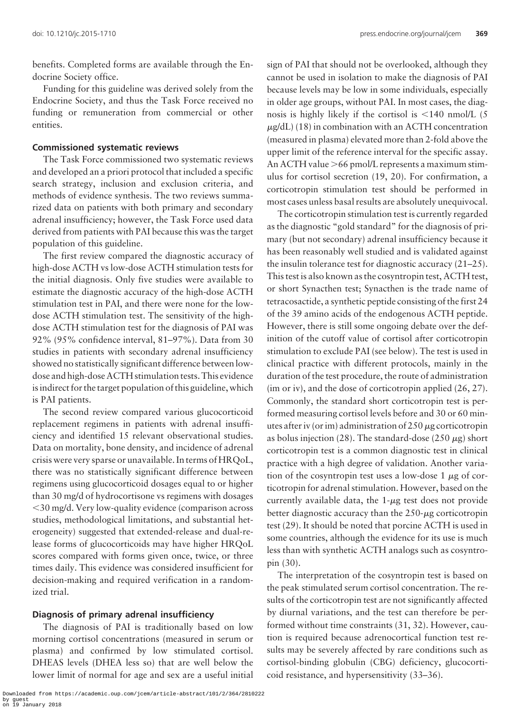benefits. Completed forms are available through the Endocrine Society office.

Funding for this guideline was derived solely from the Endocrine Society, and thus the Task Force received no funding or remuneration from commercial or other entities.

### **Commissioned systematic reviews**

The Task Force commissioned two systematic reviews and developed an a priori protocol that included a specific search strategy, inclusion and exclusion criteria, and methods of evidence synthesis. The two reviews summarized data on patients with both primary and secondary adrenal insufficiency; however, the Task Force used data derived from patients with PAI because this was the target population of this guideline.

The first review compared the diagnostic accuracy of high-dose ACTH vs low-dose ACTH stimulation tests for the initial diagnosis. Only five studies were available to estimate the diagnostic accuracy of the high-dose ACTH stimulation test in PAI, and there were none for the lowdose ACTH stimulation test. The sensitivity of the highdose ACTH stimulation test for the diagnosis of PAI was 92% (95% confidence interval, 81–97%). Data from 30 studies in patients with secondary adrenal insufficiency showed no statistically significant difference between lowdose and high-dose ACTH stimulation tests. This evidence is indirect for the target population of this guideline, which is PAI patients.

The second review compared various glucocorticoid replacement regimens in patients with adrenal insufficiency and identified 15 relevant observational studies. Data on mortality, bone density, and incidence of adrenal crisis were very sparse or unavailable. In terms of HRQoL, there was no statistically significant difference between regimens using glucocorticoid dosages equal to or higher than 30 mg/d of hydrocortisone vs regimens with dosages 30 mg/d. Very low-quality evidence (comparison across studies, methodological limitations, and substantial heterogeneity) suggested that extended-release and dual-release forms of glucocorticoids may have higher HRQoL scores compared with forms given once, twice, or three times daily. This evidence was considered insufficient for decision-making and required verification in a randomized trial.

#### **Diagnosis of primary adrenal insufficiency**

The diagnosis of PAI is traditionally based on low morning cortisol concentrations (measured in serum or plasma) and confirmed by low stimulated cortisol. DHEAS levels (DHEA less so) that are well below the lower limit of normal for age and sex are a useful initial

sign of PAI that should not be overlooked, although they cannot be used in isolation to make the diagnosis of PAI because levels may be low in some individuals, especially in older age groups, without PAI. In most cases, the diagnosis is highly likely if the cortisol is  $\langle 140 \text{ nmol/L} \rangle$  (5)  $\mu$ g/dL) (18) in combination with an ACTH concentration (measured in plasma) elevated more than 2-fold above the upper limit of the reference interval for the specific assay. An ACTH value  $>66$  pmol/L represents a maximum stimulus for cortisol secretion (19, 20). For confirmation, a corticotropin stimulation test should be performed in most cases unless basal results are absolutely unequivocal.

The corticotropin stimulation test is currently regarded as the diagnostic "gold standard" for the diagnosis of primary (but not secondary) adrenal insufficiency because it has been reasonably well studied and is validated against the insulin tolerance test for diagnostic accuracy (21–25). This test is also known as the cosyntropin test, ACTH test, or short Synacthen test; Synacthen is the trade name of tetracosactide, a synthetic peptide consisting of the first 24 of the 39 amino acids of the endogenous ACTH peptide. However, there is still some ongoing debate over the definition of the cutoff value of cortisol after corticotropin stimulation to exclude PAI (see below). The test is used in clinical practice with different protocols, mainly in the duration of the test procedure, the route of administration (im or iv), and the dose of corticotropin applied (26, 27). Commonly, the standard short corticotropin test is performed measuring cortisol levels before and 30 or 60 minutes after iv (or im) administration of  $250 \mu$ g corticotropin as bolus injection (28). The standard-dose (250  $\mu$ g) short corticotropin test is a common diagnostic test in clinical practice with a high degree of validation. Another variation of the cosyntropin test uses a low-dose 1  $\mu$ g of corticotropin for adrenal stimulation. However, based on the currently available data, the  $1$ - $\mu$ g test does not provide better diagnostic accuracy than the  $250$ - $\mu$ g corticotropin test (29). It should be noted that porcine ACTH is used in some countries, although the evidence for its use is much less than with synthetic ACTH analogs such as cosyntropin (30).

The interpretation of the cosyntropin test is based on the peak stimulated serum cortisol concentration. The results of the corticotropin test are not significantly affected by diurnal variations, and the test can therefore be performed without time constraints (31, 32). However, caution is required because adrenocortical function test results may be severely affected by rare conditions such as cortisol-binding globulin (CBG) deficiency, glucocorticoid resistance, and hypersensitivity (33–36).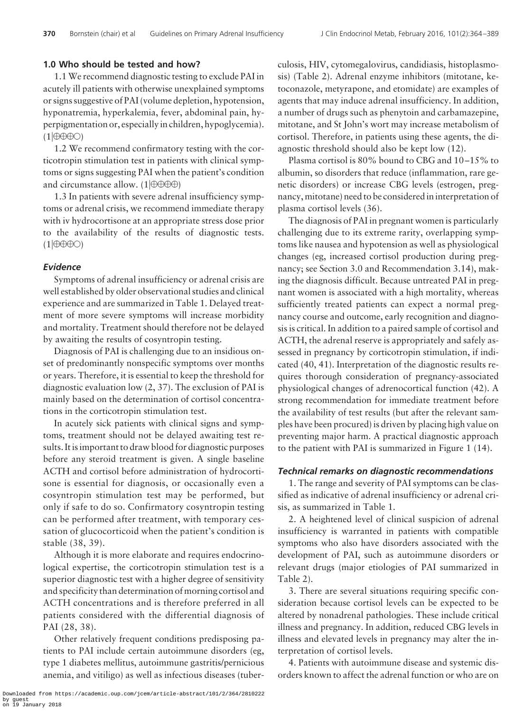### **1.0 Who should be tested and how?**

1.1 We recommend diagnostic testing to exclude PAI in acutely ill patients with otherwise unexplained symptoms or signs suggestive of PAI (volume depletion, hypotension, hyponatremia, hyperkalemia, fever, abdominal pain, hyperpigmentation or, especiallyin children, hypoglycemia).  $(1|\oplus\oplus\oplus\odot)$ 

1.2 We recommend confirmatory testing with the corticotropin stimulation test in patients with clinical symptoms or signs suggesting PAI when the patient's condition and circumstance allow.  $(1|\text{min})$ 

1.3 In patients with severe adrenal insufficiency symptoms or adrenal crisis, we recommend immediate therapy with iv hydrocortisone at an appropriate stress dose prior to the availability of the results of diagnostic tests.  $(1|\oplus\oplus\oplus\bigcirc)$ 

# *Evidence*

Symptoms of adrenal insufficiency or adrenal crisis are well established by older observational studies and clinical experience and are summarized in Table 1. Delayed treatment of more severe symptoms will increase morbidity and mortality. Treatment should therefore not be delayed by awaiting the results of cosyntropin testing.

Diagnosis of PAI is challenging due to an insidious onset of predominantly nonspecific symptoms over months or years. Therefore, it is essential to keep the threshold for diagnostic evaluation low (2, 37). The exclusion of PAI is mainly based on the determination of cortisol concentrations in the corticotropin stimulation test.

In acutely sick patients with clinical signs and symptoms, treatment should not be delayed awaiting test results. It is important to draw blood for diagnostic purposes before any steroid treatment is given. A single baseline ACTH and cortisol before administration of hydrocortisone is essential for diagnosis, or occasionally even a cosyntropin stimulation test may be performed, but only if safe to do so. Confirmatory cosyntropin testing can be performed after treatment, with temporary cessation of glucocorticoid when the patient's condition is stable (38, 39).

Although it is more elaborate and requires endocrinological expertise, the corticotropin stimulation test is a superior diagnostic test with a higher degree of sensitivity and specificity than determination of morning cortisol and ACTH concentrations and is therefore preferred in all patients considered with the differential diagnosis of PAI (28, 38).

Other relatively frequent conditions predisposing patients to PAI include certain autoimmune disorders (eg, type 1 diabetes mellitus, autoimmune gastritis/pernicious anemia, and vitiligo) as well as infectious diseases (tuberculosis, HIV, cytomegalovirus, candidiasis, histoplasmosis) (Table 2). Adrenal enzyme inhibitors (mitotane, ketoconazole, metyrapone, and etomidate) are examples of agents that may induce adrenal insufficiency. In addition, a number of drugs such as phenytoin and carbamazepine, mitotane, and St John's wort may increase metabolism of cortisol. Therefore, in patients using these agents, the diagnostic threshold should also be kept low (12).

Plasma cortisol is 80% bound to CBG and 10-15% to albumin, so disorders that reduce (inflammation, rare genetic disorders) or increase CBG levels (estrogen, pregnancy, mitotane) need to be considered in interpretation of plasma cortisol levels (36).

The diagnosis of PAI in pregnant women is particularly challenging due to its extreme rarity, overlapping symptoms like nausea and hypotension as well as physiological changes (eg, increased cortisol production during pregnancy; see Section 3.0 and Recommendation 3.14), making the diagnosis difficult. Because untreated PAI in pregnant women is associated with a high mortality, whereas sufficiently treated patients can expect a normal pregnancy course and outcome, early recognition and diagnosis is critical. In addition to a paired sample of cortisol and ACTH, the adrenal reserve is appropriately and safely assessed in pregnancy by corticotropin stimulation, if indicated (40, 41). Interpretation of the diagnostic results requires thorough consideration of pregnancy-associated physiological changes of adrenocortical function (42). A strong recommendation for immediate treatment before the availability of test results (but after the relevant samples have been procured) is driven by placing high value on preventing major harm. A practical diagnostic approach to the patient with PAI is summarized in Figure 1 (14).

# *Technical remarks on diagnostic recommendations*

1. The range and severity of PAI symptoms can be classified as indicative of adrenal insufficiency or adrenal crisis, as summarized in Table 1.

2. A heightened level of clinical suspicion of adrenal insufficiency is warranted in patients with compatible symptoms who also have disorders associated with the development of PAI, such as autoimmune disorders or relevant drugs (major etiologies of PAI summarized in Table 2).

3. There are several situations requiring specific consideration because cortisol levels can be expected to be altered by nonadrenal pathologies. These include critical illness and pregnancy. In addition, reduced CBG levels in illness and elevated levels in pregnancy may alter the interpretation of cortisol levels.

4. Patients with autoimmune disease and systemic disorders known to affect the adrenal function or who are on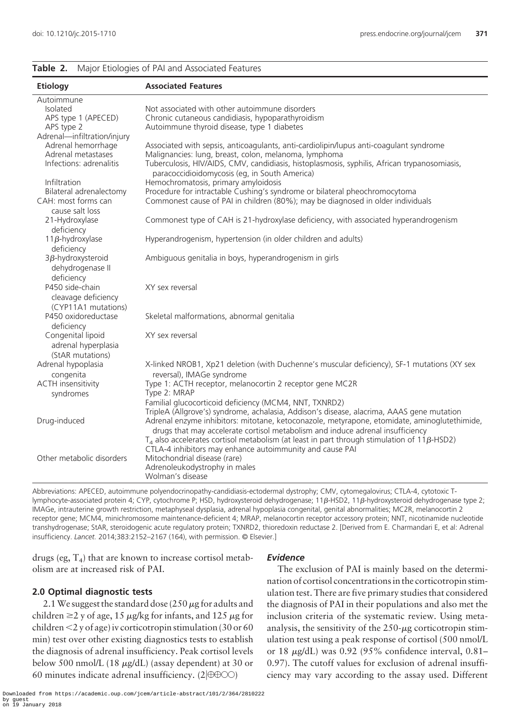| Etiology                                 | <b>Associated Features</b>                                                                                                                                                                |
|------------------------------------------|-------------------------------------------------------------------------------------------------------------------------------------------------------------------------------------------|
| Autoimmune                               |                                                                                                                                                                                           |
| Isolated                                 | Not associated with other autoimmune disorders                                                                                                                                            |
| APS type 1 (APECED)                      | Chronic cutaneous candidiasis, hypoparathyroidism                                                                                                                                         |
| APS type 2                               | Autoimmune thyroid disease, type 1 diabetes                                                                                                                                               |
| Adrenal-infiltration/injury              |                                                                                                                                                                                           |
| Adrenal hemorrhage<br>Adrenal metastases | Associated with sepsis, anticoagulants, anti-cardiolipin/lupus anti-coagulant syndrome<br>Malignancies: lung, breast, colon, melanoma, lymphoma                                           |
| Infections: adrenalitis                  | Tuberculosis, HIV/AIDS, CMV, candidiasis, histoplasmosis, syphilis, African trypanosomiasis,                                                                                              |
|                                          | paracoccidioidomycosis (eg, in South America)                                                                                                                                             |
| Infiltration                             | Hemochromatosis, primary amyloidosis                                                                                                                                                      |
| Bilateral adrenalectomy                  | Procedure for intractable Cushing's syndrome or bilateral pheochromocytoma                                                                                                                |
| CAH: most forms can                      | Commonest cause of PAI in children (80%); may be diagnosed in older individuals                                                                                                           |
| cause salt loss                          |                                                                                                                                                                                           |
| 21-Hydroxylase                           | Commonest type of CAH is 21-hydroxylase deficiency, with associated hyperandrogenism                                                                                                      |
| deficiency                               |                                                                                                                                                                                           |
| 11 $\beta$ -hydroxylase                  | Hyperandrogenism, hypertension (in older children and adults)                                                                                                                             |
| deficiency                               |                                                                                                                                                                                           |
| 3β-hydroxysteroid                        | Ambiguous genitalia in boys, hyperandrogenism in girls                                                                                                                                    |
| dehydrogenase II                         |                                                                                                                                                                                           |
| deficiency                               |                                                                                                                                                                                           |
| P450 side-chain                          | XY sex reversal                                                                                                                                                                           |
| cleavage deficiency                      |                                                                                                                                                                                           |
| (CYP11A1 mutations)                      |                                                                                                                                                                                           |
| P450 oxidoreductase                      | Skeletal malformations, abnormal genitalia                                                                                                                                                |
| deficiency                               |                                                                                                                                                                                           |
| Congenital lipoid                        | XY sex reversal                                                                                                                                                                           |
| adrenal hyperplasia                      |                                                                                                                                                                                           |
| (StAR mutations)                         |                                                                                                                                                                                           |
| Adrenal hypoplasia                       | X-linked NROB1, Xp21 deletion (with Duchenne's muscular deficiency), SF-1 mutations (XY sex                                                                                               |
| congenita                                | reversal), IMAGe syndrome                                                                                                                                                                 |
| <b>ACTH</b> insensitivity                | Type 1: ACTH receptor, melanocortin 2 receptor gene MC2R                                                                                                                                  |
| syndromes                                | Type 2: MRAP                                                                                                                                                                              |
|                                          | Familial glucocorticoid deficiency (MCM4, NNT, TXNRD2)                                                                                                                                    |
|                                          | TripleA (Allgrove's) syndrome, achalasia, Addison's disease, alacrima, AAAS gene mutation<br>Adrenal enzyme inhibitors: mitotane, ketoconazole, metyrapone, etomidate, aminoglutethimide, |
| Drug-induced                             | drugs that may accelerate cortisol metabolism and induce adrenal insufficiency                                                                                                            |
|                                          | $T4$ also accelerates cortisol metabolism (at least in part through stimulation of 11 $\beta$ -HSD2)                                                                                      |
|                                          | CTLA-4 inhibitors may enhance autoimmunity and cause PAI                                                                                                                                  |
| Other metabolic disorders                | Mitochondrial disease (rare)                                                                                                                                                              |
|                                          | Adrenoleukodystrophy in males                                                                                                                                                             |
|                                          | Wolman's disease                                                                                                                                                                          |

#### **Table 2.** Major Etiologies of PAI and Associated Features

Abbreviations: APECED, autoimmune polyendocrinopathy-candidiasis-ectodermal dystrophy; CMV, cytomegalovirus; CTLA-4, cytotoxic Tlymphocyte-associated protein 4; CYP, cytochrome P; HSD, hydroxysteroid dehydrogenase; 11B-HSD2, 11B-hydroxysteroid dehydrogenase type 2; IMAGe, intrauterine growth restriction, metaphyseal dysplasia, adrenal hypoplasia congenital, genital abnormalities; MC2R, melanocortin 2 receptor gene; MCM4, minichromosome maintenance-deficient 4; MRAP, melanocortin receptor accessory protein; NNT, nicotinamide nucleotide transhydrogenase; StAR, steroidogenic acute regulatory protein; TXNRD2, thioredoxin reductase 2. [Derived from E. Charmandari E, et al: Adrenal insufficiency. *Lancet.* 2014;383:2152–2167 (164), with permission. © Elsevier.]

drugs (eg,  $T_4$ ) that are known to increase cortisol metabolism are at increased risk of PAI.

### **2.0 Optimal diagnostic tests**

2.1 We suggest the standard dose (250  $\mu$ g for adults and children  $\geq$  2 y of age, 15  $\mu$ g/kg for infants, and 125  $\mu$ g for children  $\leq$ 2 y of age) iv corticotropin stimulation (30 or 60 min) test over other existing diagnostics tests to establish the diagnosis of adrenal insufficiency. Peak cortisol levels below 500 nmol/L (18 µg/dL) (assay dependent) at 30 or 60 minutes indicate adrenal insufficiency.  $(2|\text{O}\text{O}\text{O})$ 

### *Evidence*

The exclusion of PAI is mainly based on the determination of cortisol concentrations in the corticotropin stimulation test. There are five primary studies that considered the diagnosis of PAI in their populations and also met the inclusion criteria of the systematic review. Using metaanalysis, the sensitivity of the 250- $\mu$ g corticotropin stimulation test using a peak response of cortisol (500 nmol/L or 18 µg/dL) was 0.92 (95% confidence interval, 0.81– 0.97). The cutoff values for exclusion of adrenal insufficiency may vary according to the assay used. Different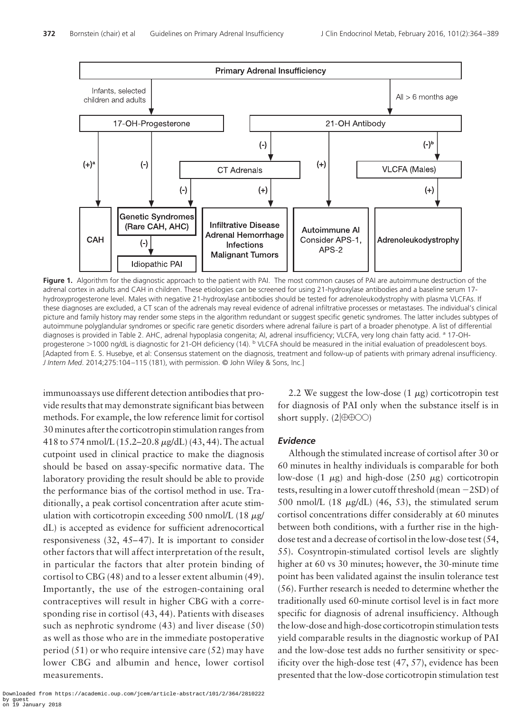

**Figure 1.** Algorithm for the diagnostic approach to the patient with PAI. The most common causes of PAI are autoimmune destruction of the adrenal cortex in adults and CAH in children. These etiologies can be screened for using 21-hydroxylase antibodies and a baseline serum 17 hydroxyprogesterone level. Males with negative 21-hydroxylase antibodies should be tested for adrenoleukodystrophy with plasma VLCFAs. If these diagnoses are excluded, a CT scan of the adrenals may reveal evidence of adrenal infiltrative processes or metastases. The individual's clinical picture and family history may render some steps in the algorithm redundant or suggest specific genetic syndromes. The latter includes subtypes of autoimmune polyglandular syndromes or specific rare genetic disorders where adrenal failure is part of a broader phenotype. A list of differential diagnoses is provided in Table 2. AHC, adrenal hypoplasia congenita; AI, adrenal insufficiency; VLCFA, very long chain fatty acid. <sup>a</sup> 17-OHprogesterone >1000 ng/dL is diagnostic for 21-OH deficiency (14). <sup>b</sup> VLCFA should be measured in the initial evaluation of preadolescent boys. [Adapted from E. S. Husebye, et al: Consensus statement on the diagnosis, treatment and follow-up of patients with primary adrenal insufficiency. *J Intern Med*. 2014;275:104 –115 (181), with permission. © John Wiley & Sons, Inc.]

immunoassays use different detection antibodies that provide results that may demonstrate significant bias between methods. For example, the low reference limit for cortisol 30 minutes after the corticotropin stimulation ranges from 418 to 574 nmol/L (15.2–20.8 µg/dL) (43, 44). The actual cutpoint used in clinical practice to make the diagnosis should be based on assay-specific normative data. The laboratory providing the result should be able to provide the performance bias of the cortisol method in use. Traditionally, a peak cortisol concentration after acute stimulation with corticotropin exceeding 500 nmol/L (18  $\mu$ g/ dL) is accepted as evidence for sufficient adrenocortical responsiveness (32, 45–47). It is important to consider other factors that will affect interpretation of the result, in particular the factors that alter protein binding of cortisol to CBG (48) and to a lesser extent albumin (49). Importantly, the use of the estrogen-containing oral contraceptives will result in higher CBG with a corresponding rise in cortisol (43, 44). Patients with diseases such as nephrotic syndrome (43) and liver disease (50) as well as those who are in the immediate postoperative period (51) or who require intensive care (52) may have lower CBG and albumin and hence, lower cortisol measurements.

2.2 We suggest the low-dose  $(1 \mu g)$  corticotropin test for diagnosis of PAI only when the substance itself is in short supply. (2 0000)

### *Evidence*

Although the stimulated increase of cortisol after 30 or 60 minutes in healthy individuals is comparable for both low-dose (1  $\mu$ g) and high-dose (250  $\mu$ g) corticotropin tests, resulting in a lower cutoff threshold (mean  $-2SD$ ) of 500 nmol/L (18  $\mu$ g/dL) (46, 53), the stimulated serum cortisol concentrations differ considerably at 60 minutes between both conditions, with a further rise in the highdose test and a decrease of cortisol in the low-dose test (54, 55). Cosyntropin-stimulated cortisol levels are slightly higher at 60 vs 30 minutes; however, the 30-minute time point has been validated against the insulin tolerance test (56). Further research is needed to determine whether the traditionally used 60-minute cortisol level is in fact more specific for diagnosis of adrenal insufficiency. Although the low-dose and high-dose corticotropin stimulation tests yield comparable results in the diagnostic workup of PAI and the low-dose test adds no further sensitivity or specificity over the high-dose test (47, 57), evidence has been presented that the low-dose corticotropin stimulation test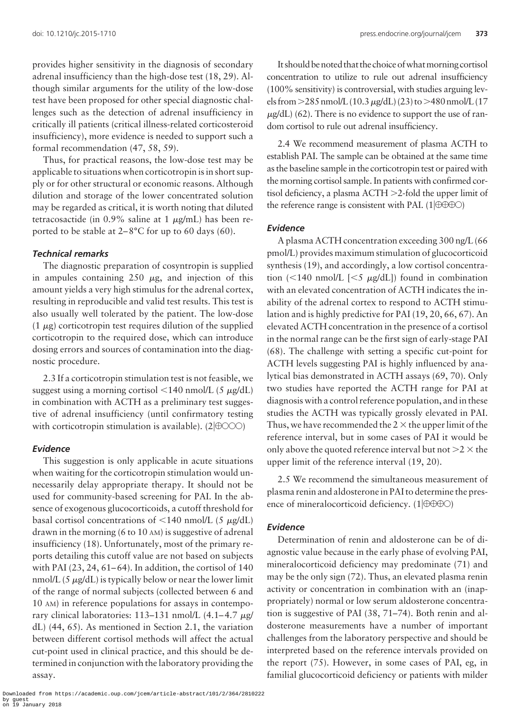provides higher sensitivity in the diagnosis of secondary adrenal insufficiency than the high-dose test (18, 29). Although similar arguments for the utility of the low-dose test have been proposed for other special diagnostic challenges such as the detection of adrenal insufficiency in critically ill patients (critical illness-related corticosteroid insufficiency), more evidence is needed to support such a formal recommendation (47, 58, 59).

Thus, for practical reasons, the low-dose test may be applicable to situations when corticotropin is in short supply or for other structural or economic reasons. Although dilution and storage of the lower concentrated solution may be regarded as critical, it is worth noting that diluted tetracosactide (in 0.9% saline at 1  $\mu$ g/mL) has been reported to be stable at  $2-8$ °C for up to 60 days (60).

### *Technical remarks*

The diagnostic preparation of cosyntropin is supplied in ampules containing 250  $\mu$ g, and injection of this amount yields a very high stimulus for the adrenal cortex, resulting in reproducible and valid test results. This test is also usually well tolerated by the patient. The low-dose  $(1 \mu g)$  corticotropin test requires dilution of the supplied corticotropin to the required dose, which can introduce dosing errors and sources of contamination into the diagnostic procedure.

2.3 If a corticotropin stimulation test is not feasible, we suggest using a morning cortisol  $\leq$ 140 nmol/L (5  $\mu$ g/dL) in combination with ACTH as a preliminary test suggestive of adrenal insufficiency (until confirmatory testing with corticotropin stimulation is available).  $(2|\oplus$ OOO)

### *Evidence*

This suggestion is only applicable in acute situations when waiting for the corticotropin stimulation would unnecessarily delay appropriate therapy. It should not be used for community-based screening for PAI. In the absence of exogenous glucocorticoids, a cutoff threshold for basal cortisol concentrations of  $\langle 140 \text{ nmol/L}$  (5  $\mu\text{g/dL}$ ) drawn in the morning (6 to 10 AM) is suggestive of adrenal insufficiency (18). Unfortunately, most of the primary reports detailing this cutoff value are not based on subjects with PAI  $(23, 24, 61-64)$ . In addition, the cortisol of 140 nmol/L (5  $\mu$ g/dL) is typically below or near the lower limit of the range of normal subjects (collected between 6 and 10 AM) in reference populations for assays in contemporary clinical laboratories: 113–131 nmol/L (4.1–4.7 µg/ dL) (44, 65). As mentioned in Section 2.1, the variation between different cortisol methods will affect the actual cut-point used in clinical practice, and this should be determined in conjunction with the laboratory providing the assay.

It should be noted that the choice of what morning cortisol concentration to utilize to rule out adrenal insufficiency (100% sensitivity) is controversial, with studies arguing levels from >285 nmol/L (10.3 µg/dL) (23) to >480 nmol/L (17  $\mu$ g/dL) (62). There is no evidence to support the use of random cortisol to rule out adrenal insufficiency.

2.4 We recommend measurement of plasma ACTH to establish PAI. The sample can be obtained at the same time as the baseline sample in the corticotropin test or paired with the morning cortisol sample. In patients with confirmed cortisol deficiency, a plasma ACTH 2-fold the upper limit of the reference range is consistent with PAI.  $(1|\text{POPO})$ 

### *Evidence*

A plasma ACTH concentration exceeding 300 ng/L (66 pmol/L) provides maximum stimulation of glucocorticoid synthesis (19), and accordingly, a low cortisol concentration (<140 nmol/L [ $\leq$ 5  $\mu$ g/dL]) found in combination with an elevated concentration of ACTH indicates the inability of the adrenal cortex to respond to ACTH stimulation and is highly predictive for PAI (19, 20, 66, 67). An elevated ACTH concentration in the presence of a cortisol in the normal range can be the first sign of early-stage PAI (68). The challenge with setting a specific cut-point for ACTH levels suggesting PAI is highly influenced by analytical bias demonstrated in ACTH assays (69, 70). Only two studies have reported the ACTH range for PAI at diagnosis with a control reference population, and in these studies the ACTH was typically grossly elevated in PAI. Thus, we have recommended the  $2 \times$  the upper limit of the reference interval, but in some cases of PAI it would be only above the quoted reference interval but not  $>2 \times$  the upper limit of the reference interval (19, 20).

2.5 We recommend the simultaneous measurement of plasma renin and aldosterone in PAI to determine the presence of mineralocorticoid deficiency. (1|OOOO)

### *Evidence*

Determination of renin and aldosterone can be of diagnostic value because in the early phase of evolving PAI, mineralocorticoid deficiency may predominate (71) and may be the only sign (72). Thus, an elevated plasma renin activity or concentration in combination with an (inappropriately) normal or low serum aldosterone concentration is suggestive of PAI (38, 71–74). Both renin and aldosterone measurements have a number of important challenges from the laboratory perspective and should be interpreted based on the reference intervals provided on the report (75). However, in some cases of PAI, eg, in familial glucocorticoid deficiency or patients with milder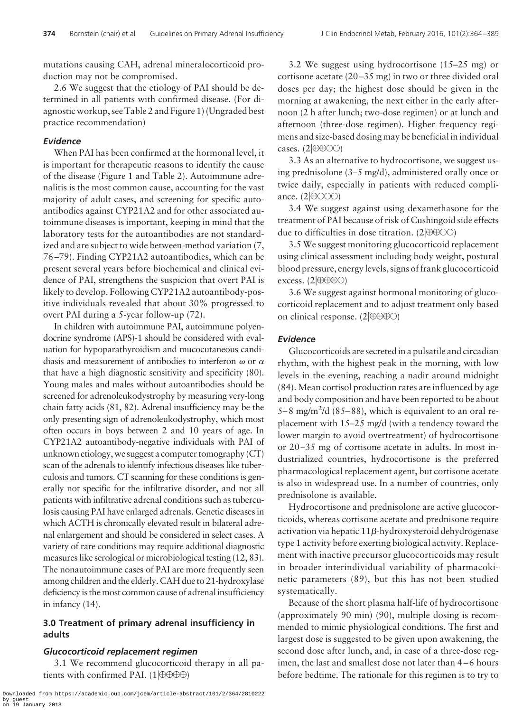mutations causing CAH, adrenal mineralocorticoid production may not be compromised.

2.6 We suggest that the etiology of PAI should be determined in all patients with confirmed disease. (For diagnostic workup, see Table 2 and Figure 1) (Ungraded best practice recommendation)

# *Evidence*

When PAI has been confirmed at the hormonal level, it is important for therapeutic reasons to identify the cause of the disease (Figure 1 and Table 2). Autoimmune adrenalitis is the most common cause, accounting for the vast majority of adult cases, and screening for specific autoantibodies against CYP21A2 and for other associated autoimmune diseases is important, keeping in mind that the laboratory tests for the autoantibodies are not standardized and are subject to wide between-method variation (7, 76 –79). Finding CYP21A2 autoantibodies, which can be present several years before biochemical and clinical evidence of PAI, strengthens the suspicion that overt PAI is likely to develop. Following CYP21A2 autoantibody-positive individuals revealed that about 30% progressed to overt PAI during a 5-year follow-up (72).

In children with autoimmune PAI, autoimmune polyendocrine syndrome (APS)-1 should be considered with evaluation for hypoparathyroidism and mucocutaneous candidiasis and measurement of antibodies to interferon  $\omega$  or  $\alpha$ that have a high diagnostic sensitivity and specificity (80). Young males and males without autoantibodies should be screened for adrenoleukodystrophy by measuring very-long chain fatty acids (81, 82). Adrenal insufficiency may be the only presenting sign of adrenoleukodystrophy, which most often occurs in boys between 2 and 10 years of age. In CYP21A2 autoantibody-negative individuals with PAI of unknown etiology, we suggest a computer tomography (CT) scan of the adrenals to identify infectious diseases like tuberculosis and tumors. CT scanning for these conditions is generally not specific for the infiltrative disorder, and not all patients with infiltrative adrenal conditions such as tuberculosis causing PAI have enlarged adrenals. Genetic diseases in which ACTH is chronically elevated result in bilateral adrenal enlargement and should be considered in select cases. A variety of rare conditions may require additional diagnostic measures like serological or microbiological testing (12, 83). The nonautoimmune cases of PAI are more frequently seen among children and the elderly. CAH due to 21-hydroxylase deficiency is the most common cause of adrenal insufficiency in infancy (14).

# **3.0 Treatment of primary adrenal insufficiency in adults**

# *Glucocorticoid replacement regimen*

3.1 We recommend glucocorticoid therapy in all patients with confirmed PAI. (1<sup>00000)</sup>

3.2 We suggest using hydrocortisone (15–25 mg) or cortisone acetate (20 –35 mg) in two or three divided oral doses per day; the highest dose should be given in the morning at awakening, the next either in the early afternoon (2 h after lunch; two-dose regimen) or at lunch and afternoon (three-dose regimen). Higher frequency regimens and size-based dosing may be beneficial in individual cases.  $(2|\text{O}\text{O}\text{O})$ 

3.3 As an alternative to hydrocortisone, we suggest using prednisolone (3–5 mg/d), administered orally once or twice daily, especially in patients with reduced compliance.  $(2|\oplus\!\circledcirc\!\circledcirc)$ 

3.4 We suggest against using dexamethasone for the treatment of PAI because of risk of Cushingoid side effects due to difficulties in dose titration.  $(2|\text{O}\text{O}\text{O})$ 

3.5 We suggest monitoring glucocorticoid replacement using clinical assessment including body weight, postural blood pressure, energy levels, signs of frank glucocorticoid excess. (2<sup>|</sup>OOO)

3.6 We suggest against hormonal monitoring of glucocorticoid replacement and to adjust treatment only based on clinical response. (2 OOO)

# *Evidence*

Glucocorticoids are secreted in a pulsatile and circadian rhythm, with the highest peak in the morning, with low levels in the evening, reaching a nadir around midnight (84). Mean cortisol production rates are influenced by age and body composition and have been reported to be about 5-8 mg/m<sup>2</sup>/d (85-88), which is equivalent to an oral replacement with 15–25 mg/d (with a tendency toward the lower margin to avoid overtreatment) of hydrocortisone or 20 –35 mg of cortisone acetate in adults. In most industrialized countries, hydrocortisone is the preferred pharmacological replacement agent, but cortisone acetate is also in widespread use. In a number of countries, only prednisolone is available.

Hydrocortisone and prednisolone are active glucocorticoids, whereas cortisone acetate and prednisone require activation via hepatic  $11\beta$ -hydroxysteroid dehydrogenase type 1 activity before exerting biological activity. Replacement with inactive precursor glucocorticoids may result in broader interindividual variability of pharmacokinetic parameters (89), but this has not been studied systematically.

Because of the short plasma half-life of hydrocortisone (approximately 90 min) (90), multiple dosing is recommended to mimic physiological conditions. The first and largest dose is suggested to be given upon awakening, the second dose after lunch, and, in case of a three-dose regimen, the last and smallest dose not later than 4-6 hours before bedtime. The rationale for this regimen is to try to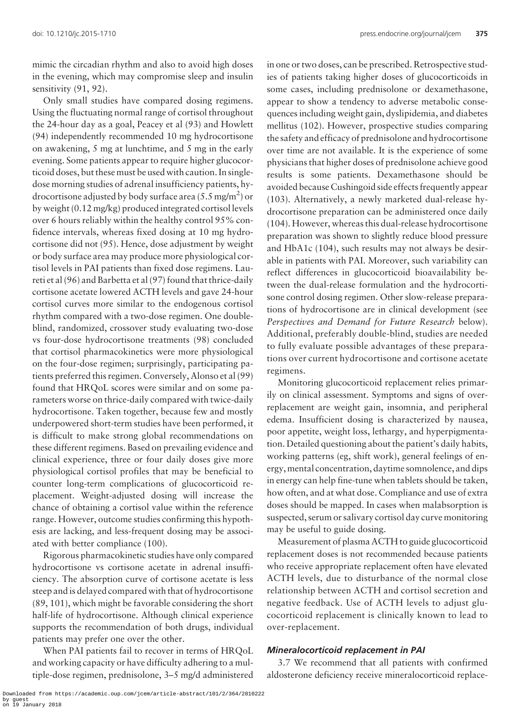mimic the circadian rhythm and also to avoid high doses in the evening, which may compromise sleep and insulin sensitivity (91, 92).

Only small studies have compared dosing regimens. Using the fluctuating normal range of cortisol throughout the 24-hour day as a goal, Peacey et al (93) and Howlett (94) independently recommended 10 mg hydrocortisone on awakening, 5 mg at lunchtime, and 5 mg in the early evening. Some patients appear to require higher glucocorticoid doses, but these must be used with caution. In singledose morning studies of adrenal insufficiency patients, hydrocortisone adjusted by body surface area (5.5 mg/m<sup>2</sup>) or by weight (0.12 mg/kg) produced integrated cortisol levels over 6 hours reliably within the healthy control 95% confidence intervals, whereas fixed dosing at 10 mg hydrocortisone did not (95). Hence, dose adjustment by weight or body surface area may produce more physiological cortisol levels in PAI patients than fixed dose regimens. Laureti et al (96) and Barbetta et al (97) found that thrice-daily cortisone acetate lowered ACTH levels and gave 24-hour cortisol curves more similar to the endogenous cortisol rhythm compared with a two-dose regimen. One doubleblind, randomized, crossover study evaluating two-dose vs four-dose hydrocortisone treatments (98) concluded that cortisol pharmacokinetics were more physiological on the four-dose regimen; surprisingly, participating patients preferred this regimen. Conversely, Alonso et al (99) found that HRQoL scores were similar and on some parameters worse on thrice-daily compared with twice-daily hydrocortisone. Taken together, because few and mostly underpowered short-term studies have been performed, it is difficult to make strong global recommendations on these different regimens. Based on prevailing evidence and clinical experience, three or four daily doses give more physiological cortisol profiles that may be beneficial to counter long-term complications of glucocorticoid replacement. Weight-adjusted dosing will increase the chance of obtaining a cortisol value within the reference range. However, outcome studies confirming this hypothesis are lacking, and less-frequent dosing may be associated with better compliance (100).

Rigorous pharmacokinetic studies have only compared hydrocortisone vs cortisone acetate in adrenal insufficiency. The absorption curve of cortisone acetate is less steep and is delayed compared with that of hydrocortisone (89, 101), which might be favorable considering the short half-life of hydrocortisone. Although clinical experience supports the recommendation of both drugs, individual patients may prefer one over the other.

When PAI patients fail to recover in terms of HRQoL and working capacity or have difficulty adhering to a multiple-dose regimen, prednisolone, 3–5 mg/d administered in one or two doses, can be prescribed. Retrospective studies of patients taking higher doses of glucocorticoids in some cases, including prednisolone or dexamethasone, appear to show a tendency to adverse metabolic consequences including weight gain, dyslipidemia, and diabetes mellitus (102). However, prospective studies comparing the safety and efficacy of prednisolone and hydrocortisone over time are not available. It is the experience of some physicians that higher doses of prednisolone achieve good results is some patients. Dexamethasone should be avoided because Cushingoid side effects frequently appear (103). Alternatively, a newly marketed dual-release hydrocortisone preparation can be administered once daily (104). However, whereas this dual-release hydrocortisone preparation was shown to slightly reduce blood pressure and HbA1c (104), such results may not always be desirable in patients with PAI. Moreover, such variability can reflect differences in glucocorticoid bioavailability between the dual-release formulation and the hydrocortisone control dosing regimen. Other slow-release preparations of hydrocortisone are in clinical development (see *Perspectives and Demand for Future Research* below). Additional, preferably double-blind, studies are needed to fully evaluate possible advantages of these preparations over current hydrocortisone and cortisone acetate regimens.

Monitoring glucocorticoid replacement relies primarily on clinical assessment. Symptoms and signs of overreplacement are weight gain, insomnia, and peripheral edema. Insufficient dosing is characterized by nausea, poor appetite, weight loss, lethargy, and hyperpigmentation. Detailed questioning about the patient's daily habits, working patterns (eg, shift work), general feelings of energy, mental concentration, daytime somnolence, and dips in energy can help fine-tune when tablets should be taken, how often, and at what dose. Compliance and use of extra doses should be mapped. In cases when malabsorption is suspected, serum or salivary cortisol day curve monitoring may be useful to guide dosing.

Measurement of plasma ACTH to guide glucocorticoid replacement doses is not recommended because patients who receive appropriate replacement often have elevated ACTH levels, due to disturbance of the normal close relationship between ACTH and cortisol secretion and negative feedback. Use of ACTH levels to adjust glucocorticoid replacement is clinically known to lead to over-replacement.

### *Mineralocorticoid replacement in PAI*

3.7 We recommend that all patients with confirmed aldosterone deficiency receive mineralocorticoid replace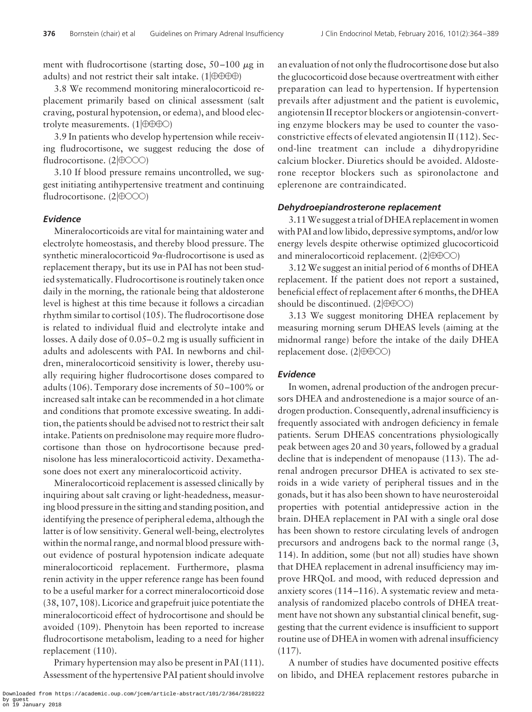ment with fludrocortisone (starting dose,  $50-100 \mu$ g in adults) and not restrict their salt intake.  $(1|\text{D}\text{D}\text{D}\text{D})$ 

3.8 We recommend monitoring mineralocorticoid replacement primarily based on clinical assessment (salt craving, postural hypotension, or edema), and blood electrolyte measurements. (1|0000)

3.9 In patients who develop hypertension while receiving fludrocortisone, we suggest reducing the dose of fludrocortisone. (2|0000)

3.10 If blood pressure remains uncontrolled, we suggest initiating antihypertensive treatment and continuing fludrocortisone. (2|0000)

# *Evidence*

Mineralocorticoids are vital for maintaining water and electrolyte homeostasis, and thereby blood pressure. The synthetic mineralocorticoid  $9\alpha$ -fludrocortisone is used as replacement therapy, but its use in PAI has not been studied systematically. Fludrocortisone is routinely taken once daily in the morning, the rationale being that aldosterone level is highest at this time because it follows a circadian rhythm similar to cortisol (105). The fludrocortisone dose is related to individual fluid and electrolyte intake and losses. A daily dose of 0.05–0.2 mg is usually sufficient in adults and adolescents with PAI. In newborns and children, mineralocorticoid sensitivity is lower, thereby usually requiring higher fludrocortisone doses compared to adults (106). Temporary dose increments of 50 –100% or increased salt intake can be recommended in a hot climate and conditions that promote excessive sweating. In addition, the patients should be advised not to restrict their salt intake. Patients on prednisolone may require more fludrocortisone than those on hydrocortisone because prednisolone has less mineralocorticoid activity. Dexamethasone does not exert any mineralocorticoid activity.

Mineralocorticoid replacement is assessed clinically by inquiring about salt craving or light-headedness, measuring blood pressure in the sitting and standing position, and identifying the presence of peripheral edema, although the latter is of low sensitivity. General well-being, electrolytes within the normal range, and normal blood pressure without evidence of postural hypotension indicate adequate mineralocorticoid replacement. Furthermore, plasma renin activity in the upper reference range has been found to be a useful marker for a correct mineralocorticoid dose (38, 107, 108). Licorice and grapefruit juice potentiate the mineralocorticoid effect of hydrocortisone and should be avoided (109). Phenytoin has been reported to increase fludrocortisone metabolism, leading to a need for higher replacement (110).

Primary hypertension may also be present in PAI (111). Assessment of the hypertensive PAI patient should involve

an evaluation of not only the fludrocortisone dose but also the glucocorticoid dose because overtreatment with either preparation can lead to hypertension. If hypertension prevails after adjustment and the patient is euvolemic, angiotensin II receptor blockers or angiotensin-converting enzyme blockers may be used to counter the vasoconstrictive effects of elevated angiotensin II (112). Second-line treatment can include a dihydropyridine calcium blocker. Diuretics should be avoided. Aldosterone receptor blockers such as spironolactone and eplerenone are contraindicated.

#### *Dehydroepiandrosterone replacement*

3.11We suggest a trial of DHEA replacement in women with PAI and low libido, depressive symptoms, and/or low energy levels despite otherwise optimized glucocorticoid and mineralocorticoid replacement.  $(2|\oplus \oplus \odot \odot)$ 

3.12 We suggest an initial period of 6 months of DHEA replacement. If the patient does not report a sustained, beneficial effect of replacement after 6 months, the DHEA should be discontinued. (2<sup>00000</sup>)

3.13 We suggest monitoring DHEA replacement by measuring morning serum DHEAS levels (aiming at the midnormal range) before the intake of the daily DHEA replacement dose. (2 OOO)

### *Evidence*

In women, adrenal production of the androgen precursors DHEA and androstenedione is a major source of androgen production. Consequently, adrenal insufficiency is frequently associated with androgen deficiency in female patients. Serum DHEAS concentrations physiologically peak between ages 20 and 30 years, followed by a gradual decline that is independent of menopause (113). The adrenal androgen precursor DHEA is activated to sex steroids in a wide variety of peripheral tissues and in the gonads, but it has also been shown to have neurosteroidal properties with potential antidepressive action in the brain. DHEA replacement in PAI with a single oral dose has been shown to restore circulating levels of androgen precursors and androgens back to the normal range (3, 114). In addition, some (but not all) studies have shown that DHEA replacement in adrenal insufficiency may improve HRQoL and mood, with reduced depression and anxiety scores (114 –116). A systematic review and metaanalysis of randomized placebo controls of DHEA treatment have not shown any substantial clinical benefit, suggesting that the current evidence is insufficient to support routine use of DHEA in women with adrenal insufficiency (117).

A number of studies have documented positive effects on libido, and DHEA replacement restores pubarche in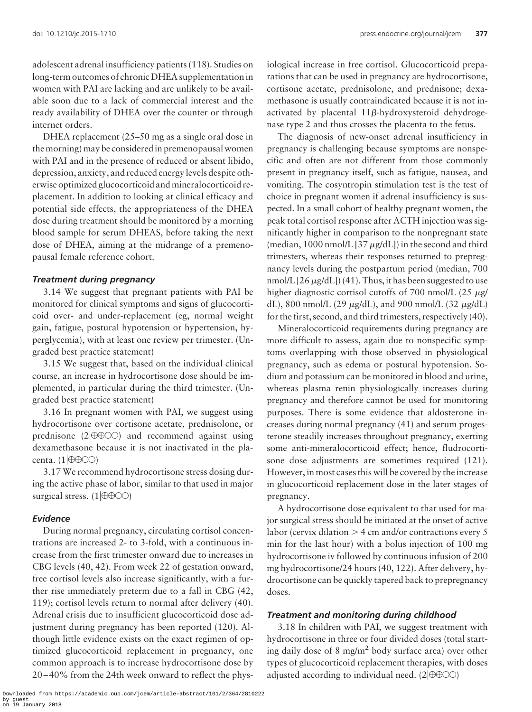adolescent adrenal insufficiency patients (118). Studies on long-term outcomes of chronic DHEA supplementation in women with PAI are lacking and are unlikely to be available soon due to a lack of commercial interest and the ready availability of DHEA over the counter or through internet orders.

DHEA replacement (25–50 mg as a single oral dose in the morning) may be considered in premenopausal women with PAI and in the presence of reduced or absent libido, depression, anxiety, and reduced energy levels despite otherwise optimized glucocorticoid and mineralocorticoid replacement. In addition to looking at clinical efficacy and potential side effects, the appropriateness of the DHEA dose during treatment should be monitored by a morning blood sample for serum DHEAS, before taking the next dose of DHEA, aiming at the midrange of a premenopausal female reference cohort.

#### *Treatment during pregnancy*

3.14 We suggest that pregnant patients with PAI be monitored for clinical symptoms and signs of glucocorticoid over- and under-replacement (eg, normal weight gain, fatigue, postural hypotension or hypertension, hyperglycemia), with at least one review per trimester. (Ungraded best practice statement)

3.15 We suggest that, based on the individual clinical course, an increase in hydrocortisone dose should be implemented, in particular during the third trimester. (Ungraded best practice statement)

3.16 In pregnant women with PAI, we suggest using hydrocortisone over cortisone acetate, prednisolone, or prednisone (2<sup>|</sup>OOO) and recommend against using dexamethasone because it is not inactivated in the placenta.  $(1|\oplus \oplus \odot \odot)$ 

3.17 We recommend hydrocortisone stress dosing during the active phase of labor, similar to that used in major surgical stress. (1|0000)

### *Evidence*

During normal pregnancy, circulating cortisol concentrations are increased 2- to 3-fold, with a continuous increase from the first trimester onward due to increases in CBG levels (40, 42). From week 22 of gestation onward, free cortisol levels also increase significantly, with a further rise immediately preterm due to a fall in CBG (42, 119); cortisol levels return to normal after delivery (40). Adrenal crisis due to insufficient glucocorticoid dose adjustment during pregnancy has been reported (120). Although little evidence exists on the exact regimen of optimized glucocorticoid replacement in pregnancy, one common approach is to increase hydrocortisone dose by 20 – 40% from the 24th week onward to reflect the phys-

iological increase in free cortisol. Glucocorticoid preparations that can be used in pregnancy are hydrocortisone, cortisone acetate, prednisolone, and prednisone; dexamethasone is usually contraindicated because it is not inactivated by placental  $11\beta$ -hydroxysteroid dehydrogenase type 2 and thus crosses the placenta to the fetus.

The diagnosis of new-onset adrenal insufficiency in pregnancy is challenging because symptoms are nonspecific and often are not different from those commonly present in pregnancy itself, such as fatigue, nausea, and vomiting. The cosyntropin stimulation test is the test of choice in pregnant women if adrenal insufficiency is suspected. In a small cohort of healthy pregnant women, the peak total cortisol response after ACTH injection was significantly higher in comparison to the nonpregnant state (median, 1000 nmol/L [37  $\mu$ g/dL]) in the second and third trimesters, whereas their responses returned to prepregnancy levels during the postpartum period (median, 700 nmol/L [26 µg/dL]) (41). Thus, it has been suggested to use higher diagnostic cortisol cutoffs of 700 nmol/L (25  $\mu$ g/ dL), 800 nmol/L (29  $\mu$ g/dL), and 900 nmol/L (32  $\mu$ g/dL) for the first, second, and third trimesters, respectively (40).

Mineralocorticoid requirements during pregnancy are more difficult to assess, again due to nonspecific symptoms overlapping with those observed in physiological pregnancy, such as edema or postural hypotension. Sodium and potassium can be monitored in blood and urine, whereas plasma renin physiologically increases during pregnancy and therefore cannot be used for monitoring purposes. There is some evidence that aldosterone increases during normal pregnancy (41) and serum progesterone steadily increases throughout pregnancy, exerting some anti-mineralocorticoid effect; hence, fludrocortisone dose adjustments are sometimes required (121). However, in most cases this will be covered by the increase in glucocorticoid replacement dose in the later stages of pregnancy.

A hydrocortisone dose equivalent to that used for major surgical stress should be initiated at the onset of active labor (cervix dilation  $>$  4 cm and/or contractions every 5 min for the last hour) with a bolus injection of 100 mg hydrocortisone iv followed by continuous infusion of 200 mg hydrocortisone/24 hours (40, 122). After delivery, hydrocortisone can be quickly tapered back to prepregnancy doses.

#### *Treatment and monitoring during childhood*

3.18 In children with PAI, we suggest treatment with hydrocortisone in three or four divided doses (total starting daily dose of 8 mg/m<sup>2</sup> body surface area) over other types of glucocorticoid replacement therapies, with doses adjusted according to individual need.  $(2|\text{O}\text{O}\text{O})$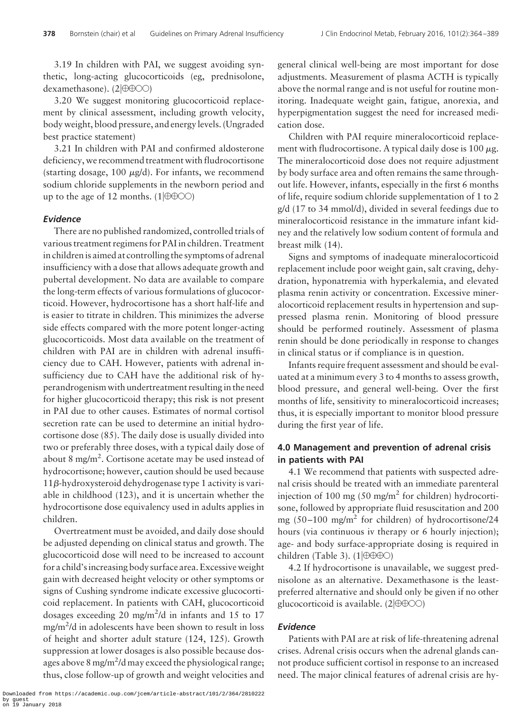3.19 In children with PAI, we suggest avoiding synthetic, long-acting glucocorticoids (eg, prednisolone, dexamethasone). (2 OOO)

3.20 We suggest monitoring glucocorticoid replacement by clinical assessment, including growth velocity, body weight, blood pressure, and energy levels. (Ungraded best practice statement)

3.21 In children with PAI and confirmed aldosterone deficiency, we recommend treatment with fludrocortisone (starting dosage,  $100 \mu g/d$ ). For infants, we recommend sodium chloride supplements in the newborn period and up to the age of 12 months.  $(1|\oplus \oplus \odot \odot)$ 

### *Evidence*

There are no published randomized, controlled trials of various treatment regimens for PAI in children. Treatment in children is aimed at controlling the symptoms of adrenal insufficiency with a dose that allows adequate growth and pubertal development. No data are available to compare the long-term effects of various formulations of glucocorticoid. However, hydrocortisone has a short half-life and is easier to titrate in children. This minimizes the adverse side effects compared with the more potent longer-acting glucocorticoids. Most data available on the treatment of children with PAI are in children with adrenal insufficiency due to CAH. However, patients with adrenal insufficiency due to CAH have the additional risk of hyperandrogenism with undertreatment resulting in the need for higher glucocorticoid therapy; this risk is not present in PAI due to other causes. Estimates of normal cortisol secretion rate can be used to determine an initial hydrocortisone dose (85). The daily dose is usually divided into two or preferably three doses, with a typical daily dose of about 8 mg/m<sup>2</sup>. Cortisone acetate may be used instead of hydrocortisone; however, caution should be used because  $11\beta$ -hydroxysteroid dehydrogenase type 1 activity is variable in childhood (123), and it is uncertain whether the hydrocortisone dose equivalency used in adults applies in children.

Overtreatment must be avoided, and daily dose should be adjusted depending on clinical status and growth. The glucocorticoid dose will need to be increased to account for a child's increasing body surface area. Excessive weight gain with decreased height velocity or other symptoms or signs of Cushing syndrome indicate excessive glucocorticoid replacement. In patients with CAH, glucocorticoid dosages exceeding 20 mg/m<sup>2</sup>/d in infants and 15 to 17 mg/m<sup>2</sup>/d in adolescents have been shown to result in loss of height and shorter adult stature (124, 125). Growth suppression at lower dosages is also possible because dosages above 8 mg/m<sup>2</sup>/d may exceed the physiological range; thus, close follow-up of growth and weight velocities and

general clinical well-being are most important for dose adjustments. Measurement of plasma ACTH is typically above the normal range and is not useful for routine monitoring. Inadequate weight gain, fatigue, anorexia, and hyperpigmentation suggest the need for increased medication dose.

Children with PAI require mineralocorticoid replacement with fludrocortisone. A typical daily dose is 100  $\mu$ g. The mineralocorticoid dose does not require adjustment by body surface area and often remains the same throughout life. However, infants, especially in the first 6 months of life, require sodium chloride supplementation of 1 to 2 g/d (17 to 34 mmol/d), divided in several feedings due to mineralocorticoid resistance in the immature infant kidney and the relatively low sodium content of formula and breast milk (14).

Signs and symptoms of inadequate mineralocorticoid replacement include poor weight gain, salt craving, dehydration, hyponatremia with hyperkalemia, and elevated plasma renin activity or concentration. Excessive mineralocorticoid replacement results in hypertension and suppressed plasma renin. Monitoring of blood pressure should be performed routinely. Assessment of plasma renin should be done periodically in response to changes in clinical status or if compliance is in question.

Infants require frequent assessment and should be evaluated at a minimum every 3 to 4 months to assess growth, blood pressure, and general well-being. Over the first months of life, sensitivity to mineralocorticoid increases; thus, it is especially important to monitor blood pressure during the first year of life.

# **4.0 Management and prevention of adrenal crisis in patients with PAI**

4.1 We recommend that patients with suspected adrenal crisis should be treated with an immediate parenteral injection of 100 mg  $(50 \text{ mg/m}^2 \text{ for children})$  hydrocortisone, followed by appropriate fluid resuscitation and 200 mg (50–100 mg/m<sup>2</sup> for children) of hydrocortisone/24 hours (via continuous iv therapy or 6 hourly injection); age- and body surface-appropriate dosing is required in children (Table 3). (1<sup>0000</sup>)

4.2 If hydrocortisone is unavailable, we suggest prednisolone as an alternative. Dexamethasone is the leastpreferred alternative and should only be given if no other glucocorticoid is available. (2 OOO)

#### *Evidence*

Patients with PAI are at risk of life-threatening adrenal crises. Adrenal crisis occurs when the adrenal glands cannot produce sufficient cortisol in response to an increased need. The major clinical features of adrenal crisis are hy-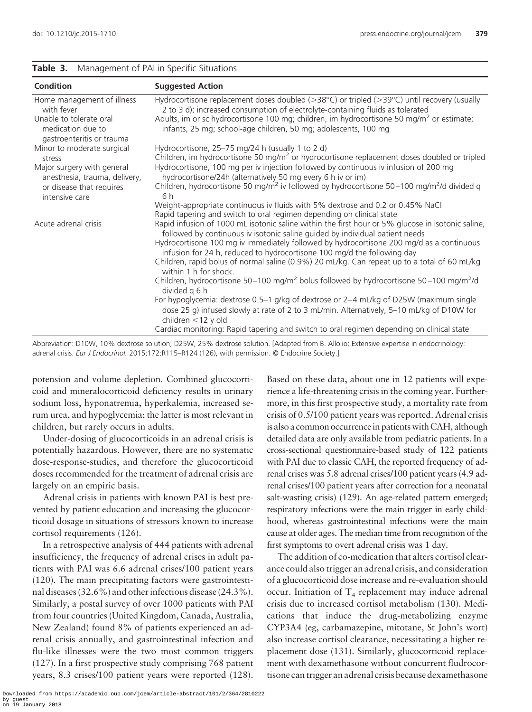| <b>Condition</b>                                                          | <b>Suggested Action</b>                                                                                                                                                                                      |
|---------------------------------------------------------------------------|--------------------------------------------------------------------------------------------------------------------------------------------------------------------------------------------------------------|
| Home management of illness<br>with fever                                  | Hydrocortisone replacement doses doubled ( $>38^{\circ}$ C) or tripled ( $>39^{\circ}$ C) until recovery (usually<br>2 to 3 d); increased consumption of electrolyte-containing fluids as tolerated          |
| Unable to tolerate oral<br>medication due to<br>gastroenteritis or trauma | Adults, im or sc hydrocortisone 100 mg; children, im hydrocortisone 50 mg/m <sup>2</sup> or estimate;<br>infants, 25 mg; school-age children, 50 mg; adolescents, 100 mg                                     |
| Minor to moderate surgical                                                | Hydrocortisone, $25-75$ mg/24 h (usually 1 to 2 d)                                                                                                                                                           |
| stress                                                                    | Children, im hydrocortisone 50 mg/m <sup>2</sup> or hydrocortisone replacement doses doubled or tripled                                                                                                      |
| Major surgery with general                                                | Hydrocortisone, 100 mg per iv injection followed by continuous iv infusion of 200 mg                                                                                                                         |
| anesthesia, trauma, delivery,                                             | hydrocortisone/24h (alternatively 50 mg every 6 h iv or im)                                                                                                                                                  |
| or disease that requires                                                  | Children, hydrocortisone 50 mg/m <sup>2</sup> iv followed by hydrocortisone 50–100 mg/m <sup>2</sup> /d divided q                                                                                            |
| intensive care                                                            | 6 h                                                                                                                                                                                                          |
|                                                                           | Weight-appropriate continuous iv fluids with 5% dextrose and 0.2 or 0.45% NaCl                                                                                                                               |
|                                                                           | Rapid tapering and switch to oral regimen depending on clinical state                                                                                                                                        |
| Acute adrenal crisis                                                      | Rapid infusion of 1000 mL isotonic saline within the first hour or 5% glucose in isotonic saline,<br>followed by continuous iv isotonic saline guided by individual patient needs                            |
|                                                                           | Hydrocortisone 100 mg iv immediately followed by hydrocortisone 200 mg/d as a continuous<br>infusion for 24 h, reduced to hydrocortisone 100 mg/d the following day                                          |
|                                                                           | Children, rapid bolus of normal saline (0.9%) 20 mL/kg. Can repeat up to a total of 60 mL/kg<br>within 1 h for shock.                                                                                        |
|                                                                           | Children, hydrocortisone 50–100 mg/m <sup>2</sup> bolus followed by hydrocortisone 50–100 mg/m <sup>2</sup> /d<br>divided q 6 h                                                                              |
|                                                                           | For hypoglycemia: dextrose 0.5–1 g/kg of dextrose or 2–4 mL/kg of D25W (maximum single<br>dose 25 g) infused slowly at rate of 2 to 3 mL/min. Alternatively, 5-10 mL/kg of D10W for<br>children $<$ 12 y old |
|                                                                           | Cardiac monitoring: Rapid tapering and switch to oral regimen depending on clinical state                                                                                                                    |

#### **Table 3.** Management of PAI in Specific Situations

Abbreviation: D10W, 10% dextrose solution; D25W, 25% dextrose solution. [Adapted from B. Allolio: Extensive expertise in endocrinology: adrenal crisis. *Eur J Endocrinol.* 2015;172:R115–R124 (126), with permission. © Endocrine Society.]

potension and volume depletion. Combined glucocorticoid and mineralocorticoid deficiency results in urinary sodium loss, hyponatremia, hyperkalemia, increased serum urea, and hypoglycemia; the latter is most relevant in children, but rarely occurs in adults.

Under-dosing of glucocorticoids in an adrenal crisis is potentially hazardous. However, there are no systematic dose-response-studies, and therefore the glucocorticoid doses recommended for the treatment of adrenal crisis are largely on an empiric basis.

Adrenal crisis in patients with known PAI is best prevented by patient education and increasing the glucocorticoid dosage in situations of stressors known to increase cortisol requirements (126).

In a retrospective analysis of 444 patients with adrenal insufficiency, the frequency of adrenal crises in adult patients with PAI was 6.6 adrenal crises/100 patient years (120). The main precipitating factors were gastrointestinal diseases (32.6%) and other infectious disease (24.3%). Similarly, a postal survey of over 1000 patients with PAI from four countries (United Kingdom, Canada, Australia, New Zealand) found 8% of patients experienced an adrenal crisis annually, and gastrointestinal infection and flu-like illnesses were the two most common triggers (127). In a first prospective study comprising 768 patient years, 8.3 crises/100 patient years were reported (128).

Downloaded from https://academic.oup.com/jcem/article-abstract/101/2/364/2810222 by guest on 19 January 2018

Based on these data, about one in 12 patients will experience a life-threatening crisis in the coming year. Furthermore, in this first prospective study, a mortality rate from crisis of 0.5/100 patient years was reported. Adrenal crisis is also a common occurrence in patients with CAH, although detailed data are only available from pediatric patients. In a cross-sectional questionnaire-based study of 122 patients with PAI due to classic CAH, the reported frequency of adrenal crises was 5.8 adrenal crises/100 patient years (4.9 adrenal crises/100 patient years after correction for a neonatal salt-wasting crisis) (129). An age-related pattern emerged; respiratory infections were the main trigger in early childhood, whereas gastrointestinal infections were the main cause at older ages. The median time from recognition of the first symptoms to overt adrenal crisis was 1 day.

The addition of co-medication that alters cortisol clearance could also trigger an adrenal crisis, and consideration of a glucocorticoid dose increase and re-evaluation should occur. Initiation of  $T_4$  replacement may induce adrenal crisis due to increased cortisol metabolism (130). Medications that induce the drug-metabolizing enzyme CYP3A4 (eg, carbamazepine, mitotane, St John's wort) also increase cortisol clearance, necessitating a higher replacement dose (131). Similarly, glucocorticoid replacement with dexamethasone without concurrent fludrocortisone can trigger an adrenal crisis because dexamethasone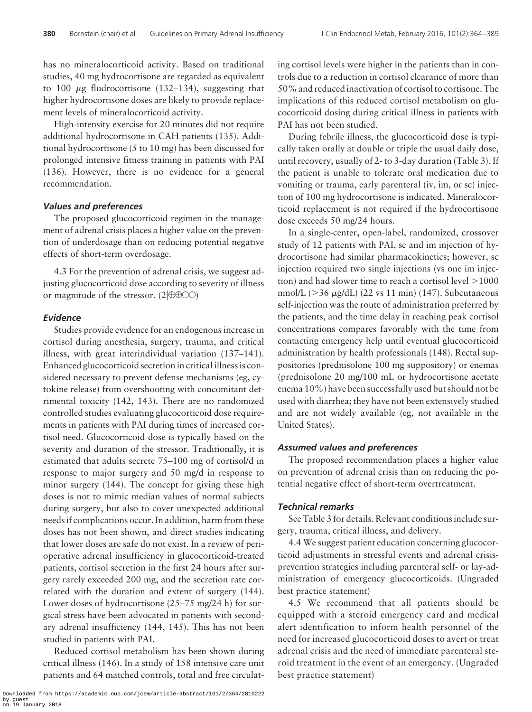has no mineralocorticoid activity. Based on traditional studies, 40 mg hydrocortisone are regarded as equivalent to 100  $\mu$ g fludrocortisone (132–134), suggesting that higher hydrocortisone doses are likely to provide replacement levels of mineralocorticoid activity.

High-intensity exercise for 20 minutes did not require additional hydrocortisone in CAH patients (135). Additional hydrocortisone (5 to 10 mg) has been discussed for prolonged intensive fitness training in patients with PAI (136). However, there is no evidence for a general recommendation.

### *Values and preferences*

The proposed glucocorticoid regimen in the management of adrenal crisis places a higher value on the prevention of underdosage than on reducing potential negative effects of short-term overdosage.

4.3 For the prevention of adrenal crisis, we suggest adjusting glucocorticoid dose according to severity of illness or magnitude of the stressor. (2 0000)

### *Evidence*

Studies provide evidence for an endogenous increase in cortisol during anesthesia, surgery, trauma, and critical illness, with great interindividual variation (137–141). Enhanced glucocorticoid secretion in critical illness is considered necessary to prevent defense mechanisms (eg, cytokine release) from overshooting with concomitant detrimental toxicity (142, 143). There are no randomized controlled studies evaluating glucocorticoid dose requirements in patients with PAI during times of increased cortisol need. Glucocorticoid dose is typically based on the severity and duration of the stressor. Traditionally, it is estimated that adults secrete 75–100 mg of cortisol/d in response to major surgery and 50 mg/d in response to minor surgery (144). The concept for giving these high doses is not to mimic median values of normal subjects during surgery, but also to cover unexpected additional needs if complications occur. In addition, harm from these doses has not been shown, and direct studies indicating that lower doses are safe do not exist. In a review of perioperative adrenal insufficiency in glucocorticoid-treated patients, cortisol secretion in the first 24 hours after surgery rarely exceeded 200 mg, and the secretion rate correlated with the duration and extent of surgery (144). Lower doses of hydrocortisone (25–75 mg/24 h) for surgical stress have been advocated in patients with secondary adrenal insufficiency (144, 145). This has not been studied in patients with PAI.

Reduced cortisol metabolism has been shown during critical illness (146). In a study of 158 intensive care unit patients and 64 matched controls, total and free circulat-

ing cortisol levels were higher in the patients than in controls due to a reduction in cortisol clearance of more than 50% and reduced inactivation of cortisol to cortisone. The implications of this reduced cortisol metabolism on glucocorticoid dosing during critical illness in patients with PAI has not been studied.

During febrile illness, the glucocorticoid dose is typically taken orally at double or triple the usual daily dose, until recovery, usually of 2- to 3-day duration (Table 3). If the patient is unable to tolerate oral medication due to vomiting or trauma, early parenteral (iv, im, or sc) injection of 100 mg hydrocortisone is indicated. Mineralocorticoid replacement is not required if the hydrocortisone dose exceeds 50 mg/24 hours.

In a single-center, open-label, randomized, crossover study of 12 patients with PAI, sc and im injection of hydrocortisone had similar pharmacokinetics; however, sc injection required two single injections (vs one im injection) and had slower time to reach a cortisol level  $>1000$ nmol/L (>36 µg/dL) (22 vs 11 min) (147). Subcutaneous self-injection was the route of administration preferred by the patients, and the time delay in reaching peak cortisol concentrations compares favorably with the time from contacting emergency help until eventual glucocorticoid administration by health professionals (148). Rectal suppositories (prednisolone 100 mg suppository) or enemas (prednisolone 20 mg/100 mL or hydrocortisone acetate enema 10%) have been successfully used but should not be used with diarrhea; they have not been extensively studied and are not widely available (eg, not available in the United States).

#### *Assumed values and preferences*

The proposed recommendation places a higher value on prevention of adrenal crisis than on reducing the potential negative effect of short-term overtreatment.

### *Technical remarks*

See Table 3 for details. Relevant conditions include surgery, trauma, critical illness, and delivery.

4.4 We suggest patient education concerning glucocorticoid adjustments in stressful events and adrenal crisisprevention strategies including parenteral self- or lay-administration of emergency glucocorticoids. (Ungraded best practice statement)

4.5 We recommend that all patients should be equipped with a steroid emergency card and medical alert identification to inform health personnel of the need for increased glucocorticoid doses to avert or treat adrenal crisis and the need of immediate parenteral steroid treatment in the event of an emergency. (Ungraded best practice statement)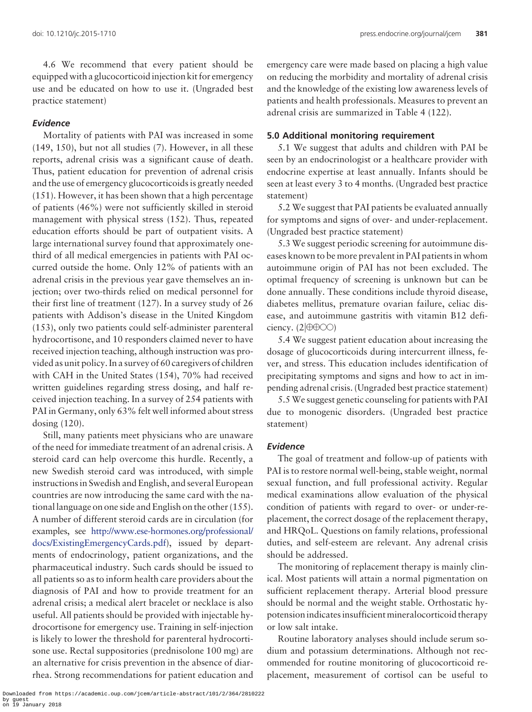4.6 We recommend that every patient should be equipped with a glucocorticoid injection kit for emergency use and be educated on how to use it. (Ungraded best practice statement)

### *Evidence*

Mortality of patients with PAI was increased in some (149, 150), but not all studies (7). However, in all these reports, adrenal crisis was a significant cause of death. Thus, patient education for prevention of adrenal crisis and the use of emergency glucocorticoids is greatly needed (151). However, it has been shown that a high percentage of patients (46%) were not sufficiently skilled in steroid management with physical stress (152). Thus, repeated education efforts should be part of outpatient visits. A large international survey found that approximately onethird of all medical emergencies in patients with PAI occurred outside the home. Only 12% of patients with an adrenal crisis in the previous year gave themselves an injection; over two-thirds relied on medical personnel for their first line of treatment (127). In a survey study of 26 patients with Addison's disease in the United Kingdom (153), only two patients could self-administer parenteral hydrocortisone, and 10 responders claimed never to have received injection teaching, although instruction was provided as unit policy. In a survey of 60 caregivers of children with CAH in the United States (154), 70% had received written guidelines regarding stress dosing, and half received injection teaching. In a survey of 254 patients with PAI in Germany, only 63% felt well informed about stress dosing (120).

Still, many patients meet physicians who are unaware of the need for immediate treatment of an adrenal crisis. A steroid card can help overcome this hurdle. Recently, a new Swedish steroid card was introduced, with simple instructions in Swedish and English, and several European countries are now introducing the same card with the national language on one side and English on the other (155). A number of different steroid cards are in circulation (for examples, see [http://www.ese-hormones.org/professional/](http://www.ese-hormones.org/professional/docs/ExistingEmergencyCards.pdf) [docs/ExistingEmergencyCards.pdf\)](http://www.ese-hormones.org/professional/docs/ExistingEmergencyCards.pdf), issued by departments of endocrinology, patient organizations, and the pharmaceutical industry. Such cards should be issued to all patients so as to inform health care providers about the diagnosis of PAI and how to provide treatment for an adrenal crisis; a medical alert bracelet or necklace is also useful. All patients should be provided with injectable hydrocortisone for emergency use. Training in self-injection is likely to lower the threshold for parenteral hydrocortisone use. Rectal suppositories (prednisolone 100 mg) are an alternative for crisis prevention in the absence of diarrhea. Strong recommendations for patient education and emergency care were made based on placing a high value on reducing the morbidity and mortality of adrenal crisis and the knowledge of the existing low awareness levels of patients and health professionals. Measures to prevent an adrenal crisis are summarized in Table 4 (122).

#### **5.0 Additional monitoring requirement**

5.1 We suggest that adults and children with PAI be seen by an endocrinologist or a healthcare provider with endocrine expertise at least annually. Infants should be seen at least every 3 to 4 months. (Ungraded best practice statement)

5.2 We suggest that PAI patients be evaluated annually for symptoms and signs of over- and under-replacement. (Ungraded best practice statement)

5.3 We suggest periodic screening for autoimmune diseases known to be more prevalent in PAI patients in whom autoimmune origin of PAI has not been excluded. The optimal frequency of screening is unknown but can be done annually. These conditions include thyroid disease, diabetes mellitus, premature ovarian failure, celiac disease, and autoimmune gastritis with vitamin B12 deficiency. (2<sup>0000</sup>)

5.4 We suggest patient education about increasing the dosage of glucocorticoids during intercurrent illness, fever, and stress. This education includes identification of precipitating symptoms and signs and how to act in impending adrenal crisis. (Ungraded best practice statement)

5.5 We suggest genetic counseling for patients with PAI due to monogenic disorders. (Ungraded best practice statement)

### *Evidence*

The goal of treatment and follow-up of patients with PAI is to restore normal well-being, stable weight, normal sexual function, and full professional activity. Regular medical examinations allow evaluation of the physical condition of patients with regard to over- or under-replacement, the correct dosage of the replacement therapy, and HRQoL. Questions on family relations, professional duties, and self-esteem are relevant. Any adrenal crisis should be addressed.

The monitoring of replacement therapy is mainly clinical. Most patients will attain a normal pigmentation on sufficient replacement therapy. Arterial blood pressure should be normal and the weight stable. Orthostatic hypotension indicates insufficient mineralocorticoid therapy or low salt intake.

Routine laboratory analyses should include serum sodium and potassium determinations. Although not recommended for routine monitoring of glucocorticoid replacement, measurement of cortisol can be useful to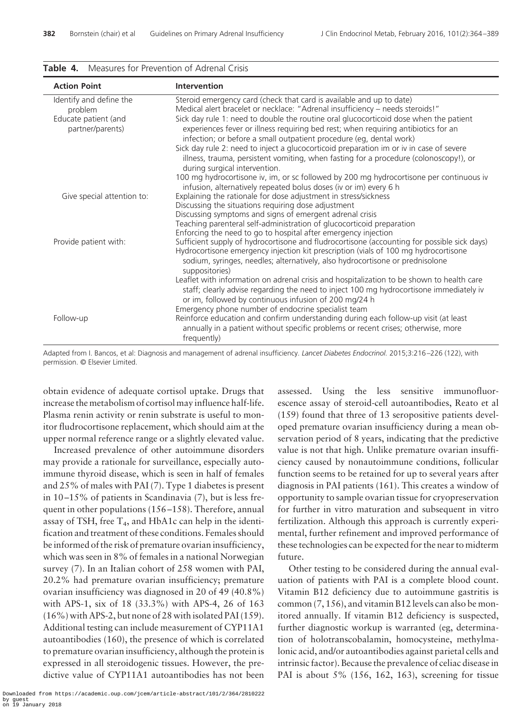| <b>Action Point</b>        | <b>Intervention</b>                                                                                                                                                  |
|----------------------------|----------------------------------------------------------------------------------------------------------------------------------------------------------------------|
| Identify and define the    | Steroid emergency card (check that card is available and up to date)                                                                                                 |
| problem                    | Medical alert bracelet or necklace: "Adrenal insufficiency - needs steroids!"                                                                                        |
| Educate patient (and       | Sick day rule 1: need to double the routine oral glucocorticoid dose when the patient                                                                                |
| partner/parents)           | experiences fever or illness requiring bed rest; when requiring antibiotics for an                                                                                   |
|                            | infection; or before a small outpatient procedure (eq. dental work)                                                                                                  |
|                            | Sick day rule 2: need to inject a glucocorticoid preparation im or iv in case of severe                                                                              |
|                            | illness, trauma, persistent vomiting, when fasting for a procedure (colonoscopy!), or<br>during surgical intervention.                                               |
|                            | 100 mg hydrocortisone iv, im, or sc followed by 200 mg hydrocortisone per continuous iv                                                                              |
|                            | infusion, alternatively repeated bolus doses (iv or im) every 6 h                                                                                                    |
| Give special attention to: | Explaining the rationale for dose adjustment in stress/sickness                                                                                                      |
|                            | Discussing the situations requiring dose adjustment                                                                                                                  |
|                            | Discussing symptoms and signs of emergent adrenal crisis                                                                                                             |
|                            | Teaching parenteral self-administration of glucocorticoid preparation                                                                                                |
|                            | Enforcing the need to go to hospital after emergency injection                                                                                                       |
| Provide patient with:      | Sufficient supply of hydrocortisone and fludrocortisone (accounting for possible sick days)                                                                          |
|                            | Hydrocortisone emergency injection kit prescription (vials of 100 mg hydrocortisone<br>sodium, syringes, needles; alternatively, also hydrocortisone or prednisolone |
|                            | suppositories)                                                                                                                                                       |
|                            | Leaflet with information on adrenal crisis and hospitalization to be shown to health care                                                                            |
|                            | staff; clearly advise regarding the need to inject 100 mg hydrocortisone immediately iv                                                                              |
|                            | or im, followed by continuous infusion of 200 mg/24 h                                                                                                                |
|                            | Emergency phone number of endocrine specialist team                                                                                                                  |
| Follow-up                  | Reinforce education and confirm understanding during each follow-up visit (at least                                                                                  |
|                            | annually in a patient without specific problems or recent crises; otherwise, more                                                                                    |
|                            | frequently)                                                                                                                                                          |

#### **Table 4.** Measures for Prevention of Adrenal Crisis

Adapted from I. Bancos, et al: Diagnosis and management of adrenal insufficiency. *Lancet Diabetes Endocrinol.* 2015;3:216 –226 (122), with permission. © Elsevier Limited.

obtain evidence of adequate cortisol uptake. Drugs that increase the metabolism of cortisol may influence half-life. Plasma renin activity or renin substrate is useful to monitor fludrocortisone replacement, which should aim at the upper normal reference range or a slightly elevated value.

Increased prevalence of other autoimmune disorders may provide a rationale for surveillance, especially autoimmune thyroid disease, which is seen in half of females and 25% of males with PAI (7). Type 1 diabetes is present in  $10-15\%$  of patients in Scandinavia (7), but is less frequent in other populations (156 –158). Therefore, annual assay of TSH, free  $T_4$ , and HbA1c can help in the identification and treatment of these conditions. Females should be informed of the risk of premature ovarian insufficiency, which was seen in 8% of females in a national Norwegian survey (7). In an Italian cohort of 258 women with PAI, 20.2% had premature ovarian insufficiency; premature ovarian insufficiency was diagnosed in 20 of 49 (40.8%) with APS-1, six of 18 (33.3%) with APS-4, 26 of 163 (16%) with APS-2, but none of 28 with isolated PAI (159). Additional testing can include measurement of CYP11A1 autoantibodies (160), the presence of which is correlated to premature ovarian insufficiency, although the protein is expressed in all steroidogenic tissues. However, the predictive value of CYP11A1 autoantibodies has not been assessed. Using the less sensitive immunofluorescence assay of steroid-cell autoantibodies, Reato et al (159) found that three of 13 seropositive patients developed premature ovarian insufficiency during a mean observation period of 8 years, indicating that the predictive value is not that high. Unlike premature ovarian insufficiency caused by nonautoimmune conditions, follicular function seems to be retained for up to several years after diagnosis in PAI patients (161). This creates a window of opportunity to sample ovarian tissue for cryopreservation for further in vitro maturation and subsequent in vitro fertilization. Although this approach is currently experimental, further refinement and improved performance of these technologies can be expected for the near to midterm future.

Other testing to be considered during the annual evaluation of patients with PAI is a complete blood count. Vitamin B12 deficiency due to autoimmune gastritis is common (7, 156), and vitamin B12 levels can also be monitored annually. If vitamin B12 deficiency is suspected, further diagnostic workup is warranted (eg, determination of holotranscobalamin, homocysteine, methylmalonic acid, and/or autoantibodies against parietal cells and intrinsic factor). Because the prevalence of celiac disease in PAI is about 5% (156, 162, 163), screening for tissue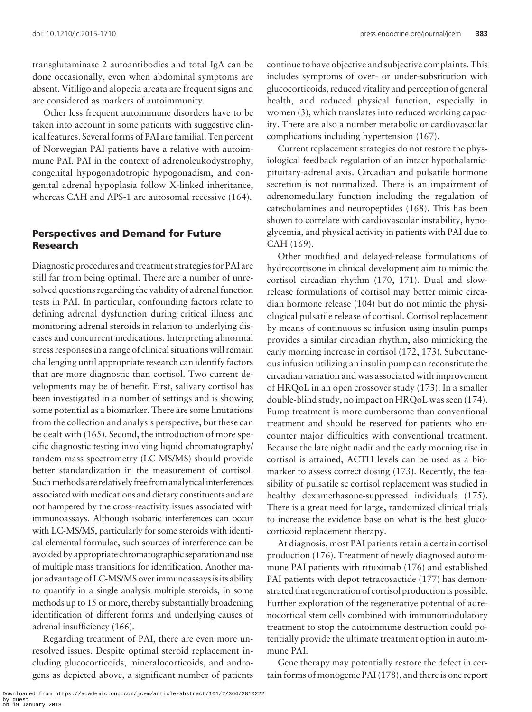transglutaminase 2 autoantibodies and total IgA can be done occasionally, even when abdominal symptoms are absent. Vitiligo and alopecia areata are frequent signs and are considered as markers of autoimmunity.

Other less frequent autoimmune disorders have to be taken into account in some patients with suggestive clinical features. Several forms of PAI are familial. Ten percent of Norwegian PAI patients have a relative with autoimmune PAI. PAI in the context of adrenoleukodystrophy, congenital hypogonadotropic hypogonadism, and congenital adrenal hypoplasia follow X-linked inheritance, whereas CAH and APS-1 are autosomal recessive (164).

# **Perspectives and Demand for Future Research**

Diagnostic procedures and treatment strategies for PAI are still far from being optimal. There are a number of unresolved questions regarding the validity of adrenal function tests in PAI. In particular, confounding factors relate to defining adrenal dysfunction during critical illness and monitoring adrenal steroids in relation to underlying diseases and concurrent medications. Interpreting abnormal stress responses in a range of clinical situations will remain challenging until appropriate research can identify factors that are more diagnostic than cortisol. Two current developments may be of benefit. First, salivary cortisol has been investigated in a number of settings and is showing some potential as a biomarker. There are some limitations from the collection and analysis perspective, but these can be dealt with (165). Second, the introduction of more specific diagnostic testing involving liquid chromatography/ tandem mass spectrometry (LC-MS/MS) should provide better standardization in the measurement of cortisol. Such methods are relatively free from analytical interferences associated with medications and dietary constituents and are not hampered by the cross-reactivity issues associated with immunoassays. Although isobaric interferences can occur with LC-MS/MS, particularly for some steroids with identical elemental formulae, such sources of interference can be avoided by appropriate chromatographic separation and use of multiple mass transitions for identification. Another major advantage of LC-MS/MS over immunoassays is its ability to quantify in a single analysis multiple steroids, in some methods up to 15 or more, thereby substantially broadening identification of different forms and underlying causes of adrenal insufficiency (166).

Regarding treatment of PAI, there are even more unresolved issues. Despite optimal steroid replacement including glucocorticoids, mineralocorticoids, and androgens as depicted above, a significant number of patients

continue to have objective and subjective complaints. This includes symptoms of over- or under-substitution with glucocorticoids, reduced vitality and perception of general health, and reduced physical function, especially in women (3), which translates into reduced working capacity. There are also a number metabolic or cardiovascular complications including hypertension (167).

Current replacement strategies do not restore the physiological feedback regulation of an intact hypothalamicpituitary-adrenal axis. Circadian and pulsatile hormone secretion is not normalized. There is an impairment of adrenomedullary function including the regulation of catecholamines and neuropeptides (168). This has been shown to correlate with cardiovascular instability, hypoglycemia, and physical activity in patients with PAI due to CAH (169).

Other modified and delayed-release formulations of hydrocortisone in clinical development aim to mimic the cortisol circadian rhythm (170, 171). Dual and slowrelease formulations of cortisol may better mimic circadian hormone release (104) but do not mimic the physiological pulsatile release of cortisol. Cortisol replacement by means of continuous sc infusion using insulin pumps provides a similar circadian rhythm, also mimicking the early morning increase in cortisol (172, 173). Subcutaneous infusion utilizing an insulin pump can reconstitute the circadian variation and was associated with improvement of HRQoL in an open crossover study (173). In a smaller double-blind study, no impact on HRQoL was seen (174). Pump treatment is more cumbersome than conventional treatment and should be reserved for patients who encounter major difficulties with conventional treatment. Because the late night nadir and the early morning rise in cortisol is attained, ACTH levels can be used as a biomarker to assess correct dosing (173). Recently, the feasibility of pulsatile sc cortisol replacement was studied in healthy dexamethasone-suppressed individuals (175). There is a great need for large, randomized clinical trials to increase the evidence base on what is the best glucocorticoid replacement therapy.

At diagnosis, most PAI patients retain a certain cortisol production (176). Treatment of newly diagnosed autoimmune PAI patients with rituximab (176) and established PAI patients with depot tetracosactide (177) has demonstrated that regeneration of cortisol production is possible. Further exploration of the regenerative potential of adrenocortical stem cells combined with immunomodulatory treatment to stop the autoimmune destruction could potentially provide the ultimate treatment option in autoimmune PAI.

Gene therapy may potentially restore the defect in certain forms of monogenic PAI (178), and there is one report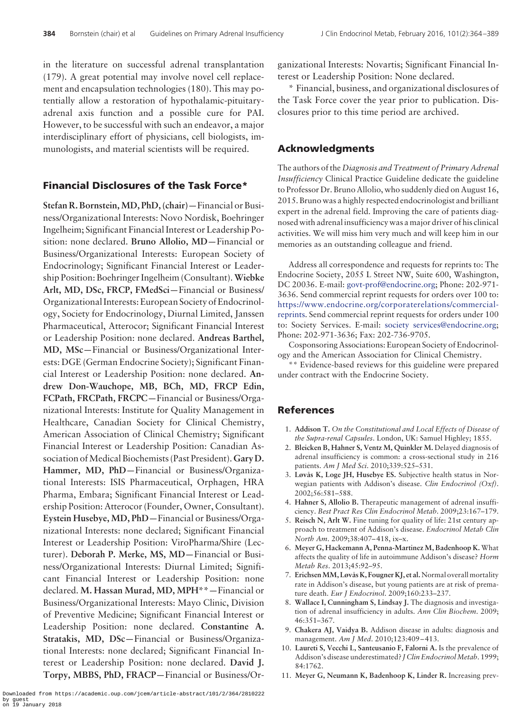in the literature on successful adrenal transplantation (179). A great potential may involve novel cell replacement and encapsulation technologies (180). This may potentially allow a restoration of hypothalamic-pituitaryadrenal axis function and a possible cure for PAI. However, to be successful with such an endeavor, a major interdisciplinary effort of physicians, cell biologists, immunologists, and material scientists will be required.

# **Financial Disclosures of the Task Force\***

**Stefan R. Bornstein,MD, PhD, (chair)**—Financial or Business/Organizational Interests: Novo Nordisk, Boehringer Ingelheim; Significant Financial Interest or Leadership Position: none declared. **Bruno Allolio, MD**—Financial or Business/Organizational Interests: European Society of Endocrinology; Significant Financial Interest or Leadership Position: Boehringer Ingelheim (Consultant).**Wiebke Arlt, MD, DSc, FRCP, FMedSci**—Financial or Business/ Organizational Interests: European Society of Endocrinology, Society for Endocrinology, Diurnal Limited, Janssen Pharmaceutical, Atterocor; Significant Financial Interest or Leadership Position: none declared. **Andreas Barthel, MD, MSc**—Financial or Business/Organizational Interests: DGE (German Endocrine Society); Significant Financial Interest or Leadership Position: none declared. **Andrew Don-Wauchope, MB, BCh, MD, FRCP Edin, FCPath, FRCPath, FRCPC**—Financial or Business/Organizational Interests: Institute for Quality Management in Healthcare, Canadian Society for Clinical Chemistry, American Association of Clinical Chemistry; Significant Financial Interest or Leadership Position: Canadian Association of Medical Biochemists (Past President). Gary D. **Hammer, MD, PhD**—Financial or Business/Organizational Interests: ISIS Pharmaceutical, Orphagen, HRA Pharma, Embara; Significant Financial Interest or Leadership Position: Atterocor (Founder, Owner, Consultant). **Eystein Husebye, MD, PhD**—Financial or Business/Organizational Interests: none declared; Significant Financial Interest or Leadership Position: ViroPharma/Shire (Lecturer). **Deborah P. Merke, MS, MD**—Financial or Business/Organizational Interests: Diurnal Limited; Significant Financial Interest or Leadership Position: none declared. **M. Hassan Murad, MD, MPH\*\***—Financial or Business/Organizational Interests: Mayo Clinic, Division of Preventive Medicine; Significant Financial Interest or Leadership Position: none declared. **Constantine A. Stratakis, MD, DSc**—Financial or Business/Organizational Interests: none declared; Significant Financial Interest or Leadership Position: none declared. **David J. Torpy, MBBS, PhD, FRACP**—Financial or Business/Or-

Downloaded from https://academic.oup.com/jcem/article-abstract/101/2/364/2810222 by guest on 19 January 2018

ganizational Interests: Novartis; Significant Financial Interest or Leadership Position: None declared.

\* Financial, business, and organizational disclosures of the Task Force cover the year prior to publication. Disclosures prior to this time period are archived.

# **Acknowledgments**

The authors of the *Diagnosis and Treatment of Primary Adrenal Insufficiency* Clinical Practice Guideline dedicate the guideline to Professor Dr. Bruno Allolio, who suddenly died on August 16, 2015. Bruno was a highly respected endocrinologist and brilliant expert in the adrenal field. Improving the care of patients diagnosed with adrenal insufficiency was a major driver of his clinical activities. We will miss him very much and will keep him in our memories as an outstanding colleague and friend.

Address all correspondence and requests for reprints to: The Endocrine Society, 2055 L Street NW, Suite 600, Washington, DC 20036. E-mail: [govt-prof@endocrine.org;](mailto:govt-prof@endocrine.org) Phone: 202-971- 3636. Send commercial reprint requests for orders over 100 to: [https://www.endocrine.org/corporaterelations/commercial](https://www.endocrine.org/corporaterelations/commercial-reprints)[reprints.](https://www.endocrine.org/corporaterelations/commercial-reprints) Send commercial reprint requests for orders under 100 to: Society Services. E-mail: [society services@endocrine.org;](mailto:society%20services@endocrine.org) Phone: 202-971-3636; Fax: 202-736-9705.

Cosponsoring Associations: European Society of Endocrinology and the American Association for Clinical Chemistry.

\*\* Evidence-based reviews for this guideline were prepared under contract with the Endocrine Society.

# **References**

- 1. **Addison T.** *On the Constitutional and Local Effects of Disease of the Supra-renal Capsules*. London, UK: Samuel Highley; 1855.
- 2. **Bleicken B, Hahner S, Ventz M, Quinkler M.** Delayed diagnosis of adrenal insufficiency is common: a cross-sectional study in 216 patients. *Am J Med Sci*. 2010;339:525–531.
- 3. **Løvås K, Loge JH, Husebye ES.** Subjective health status in Norwegian patients with Addison's disease. *Clin Endocrinol (Oxf)*. 2002;56:581–588.
- 4. **Hahner S, Allolio B.** Therapeutic management of adrenal insufficiency. *Best Pract Res Clin Endocrinol Metab*. 2009;23:167–179.
- 5. **Reisch N, Arlt W.** Fine tuning for quality of life: 21st century approach to treatment of Addison's disease. *Endocrinol Metab Clin North Am*. 2009;38:407– 418, ix–x.
- 6. **Meyer G, Hackemann A, Penna-Martinez M, Badenhoop K.** What affects the quality of life in autoimmune Addison's disease? *Horm Metab Res*. 2013;45:92–95.
- 7. **ErichsenMM, Løvås K, Fougner KJ, et al.** Normal overall mortality rate in Addison's disease, but young patients are at risk of premature death. *Eur J Endocrinol*. 2009;160:233–237.
- 8. **Wallace I, Cunningham S, Lindsay J.** The diagnosis and investigation of adrenal insufficiency in adults. *Ann Clin Biochem*. 2009; 46:351–367.
- 9. **Chakera AJ, Vaidya B.** Addison disease in adults: diagnosis and management. *Am J Med*. 2010;123:409 – 413.
- 10. **Laureti S, Vecchi L, Santeusanio F, Falorni A.** Is the prevalence of Addison's disease underestimated? *J Clin Endocrinol Metab*. 1999; 84:1762.
- 11. **Meyer G, Neumann K, Badenhoop K, Linder R.** Increasing prev-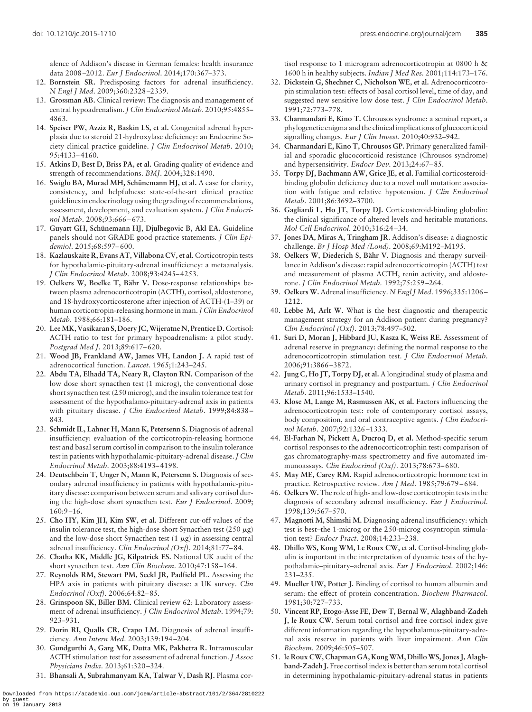alence of Addison's disease in German females: health insurance data 2008 –2012. *Eur J Endocrinol*. 2014;170:367–373.

- 12. **Bornstein SR.** Predisposing factors for adrenal insufficiency. *N Engl J Med*. 2009;360:2328 –2339.
- 13. **Grossman AB.** Clinical review: The diagnosis and management of central hypoadrenalism.*J Clin Endocrinol Metab*. 2010;95:4855– 4863.
- 14. **Speiser PW, Azziz R, Baskin LS, et al.** Congenital adrenal hyperplasia due to steroid 21-hydroxylase deficiency: an Endocrine Society clinical practice guideline. *J Clin Endocrinol Metab*. 2010; 95:4133– 4160.
- 15. **Atkins D, Best D, Briss PA, et al.** Grading quality of evidence and strength of recommendations. *BMJ*. 2004;328:1490.
- 16. **Swiglo BA, Murad MH, Schünemann HJ, et al.** A case for clarity, consistency, and helpfulness: state-of-the-art clinical practice guidelines in endocrinology using the grading of recommendations, assessment, development, and evaluation system. *J Clin Endocrinol Metab*. 2008;93:666 – 673.
- 17. **Guyatt GH, Schünemann HJ, Djulbegovic B, Akl EA.** Guideline panels should not GRADE good practice statements. *J Clin Epidemiol*. 2015;68:597– 600.
- 18. **Kazlauskaite R, Evans AT, Villabona CV, et al.** Corticotropin tests for hypothalamic-pituitary-adrenal insufficiency: a metaanalysis. *J Clin Endocrinol Metab*. 2008;93:4245– 4253.
- 19. **Oelkers W, Boelke T, Bähr V.** Dose-response relationships between plasma adrenocorticotropin (ACTH), cortisol, aldosterone, and 18-hydroxycorticosterone after injection of ACTH-(1–39) or human corticotropin-releasing hormone in man.*J Clin Endocrinol Metab*. 1988;66:181–186.
- 20. **LeeMK, Vasikaran S, Doery JC,Wijeratne N, Prentice D.** Cortisol: ACTH ratio to test for primary hypoadrenalism: a pilot study. *Postgrad Med J*. 2013;89:617– 620.
- 21. **Wood JB, Frankland AW, James VH, Landon J.** A rapid test of adrenocortical function. *Lancet*. 1965;1:243–245.
- 22. **Abdu TA, Elhadd TA, Neary R, Clayton RN.** Comparison of the low dose short synacthen test (1 microg), the conventional dose short synacthen test (250 microg), and the insulin tolerance test for assessment of the hypothalamo-pituitary-adrenal axis in patients with pituitary disease. *J Clin Endocrinol Metab*. 1999;84:838 – 843.
- 23. **Schmidt IL, Lahner H, Mann K, Petersenn S.** Diagnosis of adrenal insufficiency: evaluation of the corticotropin-releasing hormone test and basal serum cortisol in comparison to the insulin tolerance test in patients with hypothalamic-pituitary-adrenal disease.*J Clin Endocrinol Metab*. 2003;88:4193– 4198.
- 24. **Deutschbein T, Unger N, Mann K, Petersenn S.** Diagnosis of secondary adrenal insufficiency in patients with hypothalamic-pituitary disease: comparison between serum and salivary cortisol during the high-dose short synacthen test. *Eur J Endocrinol*. 2009; 160:9 –16.
- 25. **Cho HY, Kim JH, Kim SW, et al.** Different cut-off values of the insulin tolerance test, the high-dose short Synacthen test (250  $\mu$ g) and the low-dose short Synacthen test  $(1 \mu g)$  in assessing central adrenal insufficiency. *Clin Endocrinol (Oxf)*. 2014;81:77– 84.
- 26. **Chatha KK, Middle JG, Kilpatrick ES.** National UK audit of the short synacthen test. *Ann Clin Biochem*. 2010;47:158 –164.
- 27. **Reynolds RM, Stewart PM, Seckl JR, Padfield PL.** Assessing the HPA axis in patients with pituitary disease: a UK survey. *Clin Endocrinol (Oxf)*. 2006;64:82– 85.
- 28. **Grinspoon SK, Biller BM.** Clinical review 62: Laboratory assessment of adrenal insufficiency. *J Clin Endocrinol Metab*. 1994;79: 923–931.
- 29. **Dorin RI, Qualls CR, Crapo LM.** Diagnosis of adrenal insufficiency. *Ann Intern Med*. 2003;139:194 –204.
- 30. **Gundgurthi A, Garg MK, Dutta MK, Pakhetra R.** Intramuscular ACTH stimulation test for assessment of adrenal function. *J Assoc Physicians India*. 2013;61:320 –324.
- 31. **Bhansali A, Subrahmanyam KA, Talwar V, Dash RJ.** Plasma cor-

tisol response to 1 microgram adrenocorticotropin at 0800 h & 1600 h in healthy subjects. *Indian J Med Res.* 2001;114:173–176.

- 32. **Dickstein G, Shechner C, Nicholson WE, et al.** Adrenocorticotropin stimulation test: effects of basal cortisol level, time of day, and suggested new sensitive low dose test. *J Clin Endocrinol Metab*. 1991;72:773–778.
- 33. **Charmandari E, Kino T.** Chrousos syndrome: a seminal report, a phylogenetic enigma and the clinical implications of glucocorticoid signalling changes. *Eur J Clin Invest*. 2010;40:932–942.
- 34. **Charmandari E, Kino T, Chrousos GP.** Primary generalized familial and sporadic glucocorticoid resistance (Chrousos syndrome) and hypersensitivity. *Endocr Dev*. 2013;24:67– 85.
- 35. **Torpy DJ, Bachmann AW, Grice JE, et al.** Familial corticosteroidbinding globulin deficiency due to a novel null mutation: association with fatigue and relative hypotension. *J Clin Endocrinol Metab*. 2001;86:3692–3700.
- 36. **Gagliardi L, Ho JT, Torpy DJ.** Corticosteroid-binding globulin: the clinical significance of altered levels and heritable mutations. *Mol Cell Endocrinol*. 2010;316:24 –34.
- 37. **Jones DA, Miras A, Tringham JR.** Addison's disease: a diagnostic challenge. *Br J Hosp Med (Lond)*. 2008;69:M192–M195.
- 38. **Oelkers W, Diederich S, Bähr V.** Diagnosis and therapy surveillance in Addison's disease: rapid adrenocorticotropin (ACTH) test and measurement of plasma ACTH, renin activity, and aldosterone. *J Clin Endocrinol Metab*. 1992;75:259 –264.
- 39. **Oelkers W.** Adrenal insufficiency. *N Engl J Med*. 1996;335:1206 1212.
- 40. **Lebbe M, Arlt W.** What is the best diagnostic and therapeutic management strategy for an Addison patient during pregnancy? *Clin Endocrinol (Oxf)*. 2013;78:497–502.
- 41. **Suri D, Moran J, Hibbard JU, Kasza K, Weiss RE.** Assessment of adrenal reserve in pregnancy: defining the normal response to the adrenocorticotropin stimulation test. *J Clin Endocrinol Metab*. 2006;91:3866 –3872.
- 42. **Jung C, Ho JT, Torpy DJ, et al.** A longitudinal study of plasma and urinary cortisol in pregnancy and postpartum. *J Clin Endocrinol Metab*. 2011;96:1533–1540.
- 43. **Klose M, Lange M, Rasmussen AK, et al.** Factors influencing the adrenocorticotropin test: role of contemporary cortisol assays, body composition, and oral contraceptive agents. *J Clin Endocrinol Metab*. 2007;92:1326 –1333.
- 44. **El-Farhan N, Pickett A, Ducroq D, et al.** Method-specific serum cortisol responses to the adrenocorticotrophin test: comparison of gas chromatography-mass spectrometry and five automated immunoassays. *Clin Endocrinol (Oxf)*. 2013;78:673– 680.
- 45. **May ME, Carey RM.** Rapid adrenocorticotropic hormone test in practice. Retrospective review. *Am J Med*. 1985;79:679-684.
- 46. **OelkersW.**The role of high- and low-dose corticotropin tests in the diagnosis of secondary adrenal insufficiency. *Eur J Endocrinol*. 1998;139:567–570.
- 47. **Magnotti M, Shimshi M.** Diagnosing adrenal insufficiency: which test is best–the 1-microg or the 250-microg cosyntropin stimulation test? *Endocr Pract*. 2008;14:233–238.
- 48. **Dhillo WS, Kong WM, Le Roux CW, et al.** Cortisol-binding globulin is important in the interpretation of dynamic tests of the hypothalamic–pituitary–adrenal axis. *Eur J Endocrinol*. 2002;146: 231–235.
- 49. **Mueller UW, Potter J.** Binding of cortisol to human albumin and serum: the effect of protein concentration. *Biochem Pharmacol*. 1981;30:727–733.
- 50. **Vincent RP, Etogo-Asse FE, Dew T, Bernal W, Alaghband-Zadeh J, le Roux CW.** Serum total cortisol and free cortisol index give different information regarding the hypothalamus-pituitary-adrenal axis reserve in patients with liver impairment. *Ann Clin Biochem*. 2009;46:505–507.
- 51. **le Roux CW, Chapman GA, Kong WM, Dhillo WS, Jones J, Alaghband-Zadeh J.** Free cortisol index is better than serum total cortisol in determining hypothalamic-pituitary-adrenal status in patients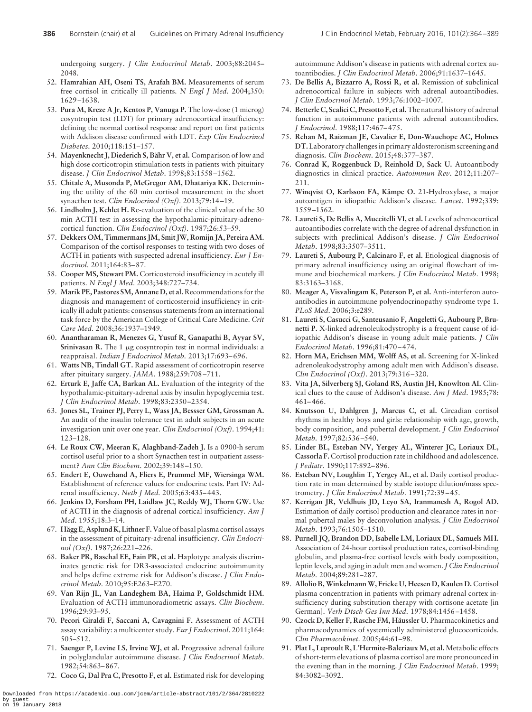undergoing surgery. *J Clin Endocrinol Metab*. 2003;88:2045– 2048.

- 52. **Hamrahian AH, Oseni TS, Arafah BM.** Measurements of serum free cortisol in critically ill patients. *N Engl J Med*. 2004;350: 1629 –1638.
- 53. **Pura M, Kreze A Jr, Kentos P, Vanuga P.** The low-dose (1 microg) cosyntropin test (LDT) for primary adrenocortical insufficiency: defining the normal cortisol response and report on first patients with Addison disease confirmed with LDT. *Exp Clin Endocrinol Diabetes*. 2010;118:151–157.
- 54. **Mayenknecht J, Diederich S, Bähr V, et al.** Comparison of low and high dose corticotropin stimulation tests in patients with pituitary disease. *J Clin Endocrinol Metab*. 1998;83:1558 –1562.
- 55. **Chitale A, Musonda P, McGregor AM, Dhatariya KK.** Determining the utility of the 60 min cortisol measurement in the short synacthen test. *Clin Endocrinol (Oxf)*. 2013;79:14 –19.
- 56. **Lindholm J, Kehlet H.** Re-evaluation of the clinical value of the 30 min ACTH test in assessing the hypothalamic-pituitary-adrenocortical function. *Clin Endocrinol (Oxf).* 1987;26:53–59.
- 57. **Dekkers OM, Timmermans JM, Smit JW, Romijn JA, Pereira AM.** Comparison of the cortisol responses to testing with two doses of ACTH in patients with suspected adrenal insufficiency. *Eur J Endocrinol*. 2011;164:83– 87.
- 58. **Cooper MS, Stewart PM.** Corticosteroid insufficiency in acutely ill patients. *N Engl J Med*. 2003;348:727–734.
- 59. **Marik PE, Pastores SM, Annane D, et al.** Recommendations for the diagnosis and management of corticosteroid insufficiency in critically ill adult patients: consensus statements from an international task force by the American College of Critical Care Medicine. *Crit Care Med*. 2008;36:1937–1949.
- 60. **Anantharaman R, Menezes G, Yusuf R, Ganapathi B, Ayyar SV, Srinivasan R.** The 1  $\mu$ g cosyntropin test in normal individuals: a reappraisal. *Indian J Endocrinol Metab.* 2013;17:693– 696.
- 61. **Watts NB, Tindall GT.** Rapid assessment of corticotropin reserve after pituitary surgery. *JAMA*. 1988;259:708 –711.
- 62. **Erturk E, Jaffe CA, Barkan AL.** Evaluation of the integrity of the hypothalamic-pituitary-adrenal axis by insulin hypoglycemia test. *J Clin Endocrinol Metab*. 1998;83:2350 –2354.
- 63. **Jones SL, Trainer PJ, Perry L, Wass JA, Bessser GM, Grossman A.** An audit of the insulin tolerance test in adult subjects in an acute investigation unit over one year. *Clin Endocrinol (Oxf)*. 1994;41: 123–128.
- 64. **Le Roux CW, Meeran K, Alaghband-Zadeh J.** Is a 0900-h serum cortisol useful prior to a short Synacthen test in outpatient assessment? *Ann Clin Biochem*. 2002;39:148 –150.
- 65. **Endert E, Ouwehand A, Fliers E, Prummel MF, Wiersinga WM.** Establishment of reference values for endocrine tests. Part IV: Adrenal insufficiency. *Neth J Med.* 2005;63:435– 443.
- 66. **Jenkins D, Forsham PH, Laidlaw JC, Reddy WJ, Thorn GW.** Use of ACTH in the diagnosis of adrenal cortical insufficiency. *Am J Med*. 1955;18:3–14.
- 67. **Hägg E, Asplund K, Lithner F.** Value of basal plasma cortisol assays in the assessment of pituitary-adrenal insufficiency. *Clin Endocrinol (Oxf)*. 1987;26:221–226.
- 68. **Baker PR, Baschal EE, Fain PR, et al.** Haplotype analysis discriminates genetic risk for DR3-associated endocrine autoimmunity and helps define extreme risk for Addison's disease. *J Clin Endocrinol Metab*. 2010;95:E263–E270.
- 69. **Van Rijn JL, Van Landeghem BA, Haima P, Goldschmidt HM.** Evaluation of ACTH immunoradiometric assays. *Clin Biochem*. 1996;29:93–95.
- 70. **Pecori Giraldi F, Saccani A, Cavagnini F.** Assessment of ACTH assay variability: a multicenter study. *Eur J Endocrinol*. 2011;164: 505–512.
- 71. **Saenger P, Levine LS, Irvine WJ, et al.** Progressive adrenal failure in polyglandular autoimmune disease. *J Clin Endocrinol Metab*. 1982;54:863– 867.
- 72. **Coco G, Dal Pra C, Presotto F, et al.** Estimated risk for developing

Downloaded from https://academic.oup.com/jcem/article-abstract/101/2/364/2810222 by guest on 19 January 2018

autoimmune Addison's disease in patients with adrenal cortex autoantibodies. *J Clin Endocrinol Metab*. 2006;91:1637–1645.

- 73. **De Bellis A, Bizzarro A, Rossi R, et al.** Remission of subclinical adrenocortical failure in subjects with adrenal autoantibodies. *J Clin Endocrinol Metab*. 1993;76:1002–1007.
- 74. **Betterle C, Scalici C, Presotto F, et al.**The natural history of adrenal function in autoimmune patients with adrenal autoantibodies. *J Endocrinol*. 1988;117:467– 475.
- 75. **Rehan M, Raizman JE, Cavalier E, Don-Wauchope AC, Holmes DT.**Laboratory challenges in primary aldosteronism screening and diagnosis. *Clin Biochem*. 2015;48:377–387.
- 76. **Conrad K, Roggenbuck D, Reinhold D, Sack U.** Autoantibody diagnostics in clinical practice. *Autoimmun Rev*. 2012;11:207– 211.
- 77. **Winqvist O, Karlsson FA, Kämpe O.** 21-Hydroxylase, a major autoantigen in idiopathic Addison's disease. *Lancet*. 1992;339: 1559 –1562.
- 78. **Laureti S, De Bellis A, Muccitelli VI, et al.** Levels of adrenocortical autoantibodies correlate with the degree of adrenal dysfunction in subjects with preclinical Addison's disease. *J Clin Endocrinol Metab*. 1998;83:3507–3511.
- 79. **Laureti S, Aubourg P, Calcinaro F, et al.** Etiological diagnosis of primary adrenal insufficiency using an original flowchart of immune and biochemical markers. *J Clin Endocrinol Metab*. 1998; 83:3163–3168.
- 80. **Meager A, Visvalingam K, Peterson P, et al.** Anti-interferon autoantibodies in autoimmune polyendocrinopathy syndrome type 1. *PLoS Med*. 2006;3:e289.
- 81. **Laureti S, Casucci G, Santeusanio F, Angeletti G, Aubourg P, Brunetti P.** X-linked adrenoleukodystrophy is a frequent cause of idiopathic Addison's disease in young adult male patients. *J Clin Endocrinol Metab*. 1996;81:470 – 474.
- 82. **Horn MA, Erichsen MM, Wolff AS, et al.** Screening for X-linked adrenoleukodystrophy among adult men with Addison's disease. *Clin Endocrinol (Oxf)*. 2013;79:316 –320.
- 83. **Vita JA, Silverberg SJ, Goland RS, Austin JH, Knowlton AI.** Clinical clues to the cause of Addison's disease. *Am J Med*. 1985;78: 461– 466.
- 84. **Knutsson U, Dahlgren J, Marcus C, et al.** Circadian cortisol rhythms in healthy boys and girls: relationship with age, growth, body composition, and pubertal development. *J Clin Endocrinol Metab.* 1997;82:536 –540.
- 85. **Linder BL, Esteban NV, Yergey AL, Winterer JC, Loriaux DL, Cassorla F.** Cortisol production rate in childhood and adolescence. *J Pediatr*. 1990;117:892– 896.
- 86. **Esteban NV, Loughlin T, Yergey AL, et al.** Daily cortisol production rate in man determined by stable isotope dilution/mass spectrometry. *J Clin Endocrinol Metab*. 1991;72:39 – 45.
- 87. **Kerrigan JR, Veldhuis JD, Leyo SA, Iranmanesh A, Rogol AD.** Estimation of daily cortisol production and clearance rates in normal pubertal males by deconvolution analysis. *J Clin Endocrinol Metab*. 1993;76:1505–1510.
- 88. **Purnell JQ, Brandon DD, Isabelle LM, Loriaux DL, Samuels MH.** Association of 24-hour cortisol production rates, cortisol-binding globulin, and plasma-free cortisol levels with body composition, leptin levels, and aging in adult men and women.*J Clin Endocrinol Metab.* 2004;89:281–287.
- 89. **Allolio B, Winkelmann W, Fricke U, Heesen D, Kaulen D.** Cortisol plasma concentration in patients with primary adrenal cortex insufficiency during substitution therapy with cortisone acetate [in German]. *Verh Dtsch Ges Inn Med.* 1978;84:1456 –1458.
- 90. **Czock D, Keller F, Rasche FM, Häussler U.** Pharmacokinetics and pharmacodynamics of systemically administered glucocorticoids. *Clin Pharmacokinet*. 2005;44:61–98.
- 91. **Plat L, Leproult R, L'Hermite-Baleriaux M, et al.** Metabolic effects of short-term elevations of plasma cortisol are more pronounced in the evening than in the morning. *J Clin Endocrinol Metab*. 1999; 84:3082–3092.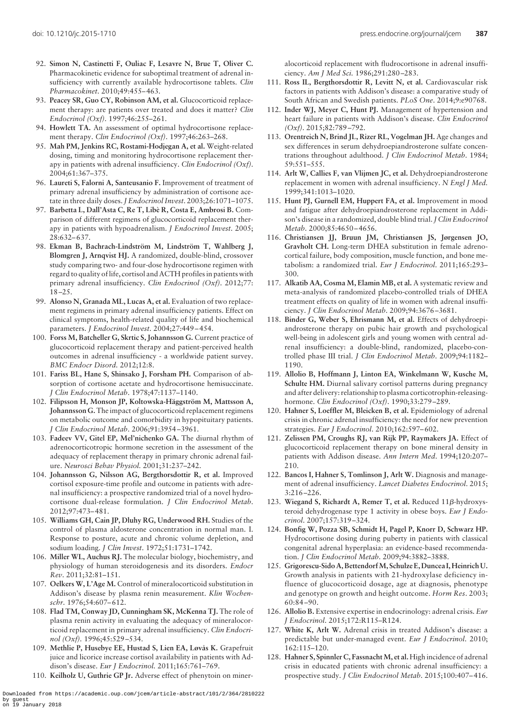- 92. **Simon N, Castinetti F, Ouliac F, Lesavre N, Brue T, Oliver C.** Pharmacokinetic evidence for suboptimal treatment of adrenal insufficiency with currently available hydrocortisone tablets. *Clin Pharmacokinet*. 2010;49:455– 463.
- 93. **Peacey SR, Guo CY, Robinson AM, et al.** Glucocorticoid replacement therapy: are patients over treated and does it matter? *Clin Endocrinol (Oxf)*. 1997;46:255–261.
- 94. **Howlett TA.** An assessment of optimal hydrocortisone replacement therapy. *Clin Endocrinol (Oxf)*. 1997;46:263–268.
- 95. **Mah PM, Jenkins RC, Rostami-Hodjegan A, et al.** Weight-related dosing, timing and monitoring hydrocortisone replacement therapy in patients with adrenal insufficiency. *Clin Endocrinol (Oxf)*. 2004;61:367–375.
- 96. **Laureti S, Falorni A, Santeusanio F.** Improvement of treatment of primary adrenal insufficiency by administration of cortisone acetate in three daily doses.*J Endocrinol Invest*. 2003;26:1071–1075.
- 97. **Barbetta L, Dall'Asta C, Re T, Libè R, Costa E, Ambrosi B.** Comparison of different regimens of glucocorticoid replacement therapy in patients with hypoadrenalism. *J Endocrinol Invest*. 2005; 28:632– 637.
- 98. **Ekman B, Bachrach-Lindström M, Lindström T, Wahlberg J, Blomgren J, Arnqvist HJ.** A randomized, double-blind, crossover study comparing two- and four-dose hydrocortisone regimen with regard to quality of life, cortisol and ACTH profiles in patients with primary adrenal insufficiency. *Clin Endocrinol (Oxf)*. 2012;77: 18 –25.
- 99. **Alonso N, Granada ML, Lucas A, et al.** Evaluation of two replacement regimens in primary adrenal insufficiency patients. Effect on clinical symptoms, health-related quality of life and biochemical parameters. *J Endocrinol Invest*. 2004;27:449 – 454.
- 100. **Forss M, Batcheller G, Skrtic S, Johannsson G.** Current practice of glucocorticoid replacement therapy and patient-perceived health outcomes in adrenal insufficiency - a worldwide patient survey. *BMC Endocr Disord.* 2012;12:8.
- 101. **Fariss BL, Hane S, Shinsako J, Forsham PH.** Comparison of absorption of cortisone acetate and hydrocortisone hemisuccinate. *J Clin Endocrinol Metab*. 1978;47:1137–1140.
- 102. **Filipsson H, Monson JP, Koltowska-Häggström M, Mattsson A, Johannsson G.**The impact of glucocorticoid replacement regimens on metabolic outcome and comorbidity in hypopituitary patients. *J Clin Endocrinol Metab*. 2006;91:3954 –3961.
- 103. **Fadeev VV, Gitel EP, Mel'nichenko GA.** The diurnal rhythm of adrenocorticotropic hormone secretion in the assessment of the adequacy of replacement therapy in primary chronic adrenal failure. *Neurosci Behav Physiol.* 2001;31:237–242.
- 104. **Johannsson G, Nilsson AG, Bergthorsdottir R, et al.** Improved cortisol exposure-time profile and outcome in patients with adrenal insufficiency: a prospective randomized trial of a novel hydrocortisone dual-release formulation. *J Clin Endocrinol Metab*. 2012;97:473– 481.
- 105. **Williams GH, Cain JP, Dluhy RG, Underwood RH.** Studies of the control of plasma aldosterone concentration in normal man. I. Response to posture, acute and chronic volume depletion, and sodium loading. *J Clin Invest*. 1972;51:1731–1742.
- 106. **Miller WL, Auchus RJ.** The molecular biology, biochemistry, and physiology of human steroidogenesis and its disorders. *Endocr Rev*. 2011;32:81–151.
- 107. **Oelkers W, L'Age M.** Control of mineralocorticoid substitution in Addison's disease by plasma renin measurement. *Klin Wochenschr*. 1976;54:607– 612.
- 108. **Flad TM, Conway JD, Cunningham SK, McKenna TJ.** The role of plasma renin activity in evaluating the adequacy of mineralocorticoid replacement in primary adrenal insufficiency. *Clin Endocrinol (Oxf).* 1996;45:529 –534.
- 109. **Methlie P, Husebye EE, Hustad S, Lien EA, Løvås K.** Grapefruit juice and licorice increase cortisol availability in patients with Addison's disease. *Eur J Endocrinol.* 2011;165:761–769.
- 110. **Keilholz U, Guthrie GP Jr.** Adverse effect of phenytoin on miner-

alocorticoid replacement with fludrocortisone in adrenal insufficiency. *Am J Med Sci.* 1986;291:280 –283.

- 111. **Ross IL, Bergthorsdottir R, Levitt N, et al.** Cardiovascular risk factors in patients with Addison's disease: a comparative study of South African and Swedish patients. *PLoS One*. 2014;9:e90768.
- 112. **Inder WJ, Meyer C, Hunt PJ.** Management of hypertension and heart failure in patients with Addison's disease. *Clin Endocrinol (Oxf)*. 2015;82:789 –792.
- 113. **Orentreich N, Brind JL, Rizer RL, Vogelman JH.** Age changes and sex differences in serum dehydroepiandrosterone sulfate concentrations throughout adulthood. *J Clin Endocrinol Metab*. 1984; 59:551–555.
- 114. **Arlt W, Callies F, van Vlijmen JC, et al.** Dehydroepiandrosterone replacement in women with adrenal insufficiency. *N Engl J Med.* 1999;341:1013–1020.
- 115. **Hunt PJ, Gurnell EM, Huppert FA, et al.** Improvement in mood and fatigue after dehydroepiandrosterone replacement in Addison's disease in a randomized, double blind trial.*J Clin Endocrinol Metab*. 2000;85:4650 – 4656.
- 116. **Christiansen JJ, Bruun JM, Christiansen JS, Jørgensen JO, Gravholt CH.** Long-term DHEA substitution in female adrenocortical failure, body composition, muscle function, and bone metabolism: a randomized trial. *Eur J Endocrinol*. 2011;165:293– 300.
- 117. **Alkatib AA, Cosma M, Elamin MB, et al.** A systematic review and meta-analysis of randomized placebo-controlled trials of DHEA treatment effects on quality of life in women with adrenal insufficiency. *J Clin Endocrinol Metab*. 2009;94:3676 –3681.
- 118. **Binder G, Weber S, Ehrismann M, et al.** Effects of dehydroepiandrosterone therapy on pubic hair growth and psychological well-being in adolescent girls and young women with central adrenal insufficiency: a double-blind, randomized, placebo-controlled phase III trial. *J Clin Endocrinol Metab*. 2009;94:1182– 1190.
- 119. **Allolio B, Hoffmann J, Linton EA, Winkelmann W, Kusche M, Schulte HM.** Diurnal salivary cortisol patterns during pregnancy and after delivery: relationship to plasma corticotrophin-releasinghormone. *Clin Endocrinol (Oxf)*. 1990;33:279 –289.
- 120. **Hahner S, Loeffler M, Bleicken B, et al.** Epidemiology of adrenal crisis in chronic adrenal insufficiency: the need for new prevention strategies. *Eur J Endocrinol*. 2010;162:597– 602.
- 121. **Zelissen PM, Croughs RJ, van Rijk PP, Raymakers JA.** Effect of glucocorticoid replacement therapy on bone mineral density in patients with Addison disease. *Ann Intern Med*. 1994;120:207– 210.
- 122. **Bancos I, Hahner S, Tomlinson J, Arlt W.** Diagnosis and management of adrenal insufficiency. *Lancet Diabetes Endocrinol*. 2015; 3:216 –226.
- 123. Wiegand S, Richardt A, Remer T, et al. Reduced 11 $\beta$ -hydroxysteroid dehydrogenase type 1 activity in obese boys. *Eur J Endocrinol*. 2007;157:319 –324.
- 124. **Bonfig W, Pozza SB, Schmidt H, Pagel P, Knorr D, Schwarz HP.** Hydrocortisone dosing during puberty in patients with classical congenital adrenal hyperplasia: an evidence-based recommendation. *J Clin Endocrinol Metab*. 2009;94:3882–3888.
- 125. **Grigorescu-Sido A, BettendorfM, Schulze E, Duncea I, Heinrich U.** Growth analysis in patients with 21-hydroxylase deficiency influence of glucocorticoid dosage, age at diagnosis, phenotype and genotype on growth and height outcome. *Horm Res*. 2003; 60:84 –90.
- 126. **Allolio B.** Extensive expertise in endocrinology: adrenal crisis. *Eur J Endocrinol*. 2015;172:R115–R124.
- 127. **White K, Arlt W.** Adrenal crisis in treated Addison's disease: a predictable but under-managed event. *Eur J Endocrinol*. 2010; 162:115–120.
- 128. **Hahner S, Spinnler C, FassnachtM, et al.** High incidence of adrenal crisis in educated patients with chronic adrenal insufficiency: a prospective study. *J Clin Endocrinol Metab*. 2015;100:407-416.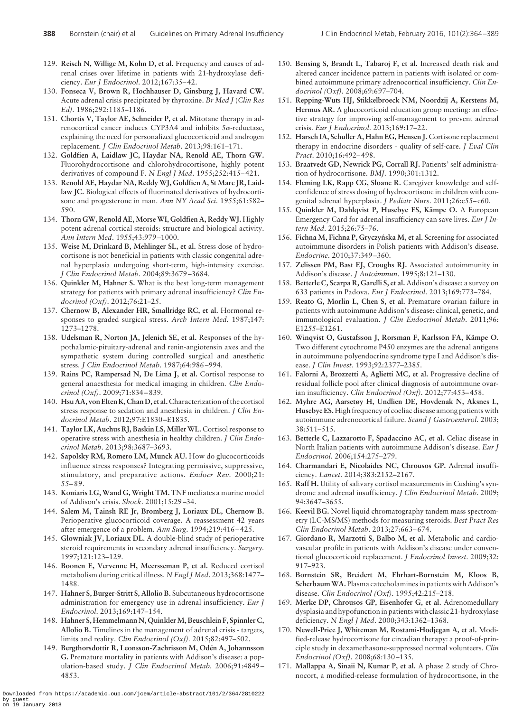- 129. **Reisch N, Willige M, Kohn D, et al.** Frequency and causes of adrenal crises over lifetime in patients with 21-hydroxylase deficiency. *Eur J Endocrinol*. 2012;167:35– 42.
- 130. **Fonseca V, Brown R, Hochhauser D, Ginsburg J, Havard CW.** Acute adrenal crisis precipitated by thyroxine. *Br Med J* (*Clin Res Ed)*. 1986;292:1185–1186.
- 131. **Chortis V, Taylor AE, Schneider P, et al.** Mitotane therapy in adrenocortical cancer induces CYP3A4 and inhibits  $5\alpha$ -reductase, explaining the need for personalized glucocorticoid and androgen replacement. *J Clin Endocrinol Metab*. 2013;98:161–171.
- 132. **Goldfien A, Laidlaw JC, Haydar NA, Renold AE, Thorn GW.** Fluorohydrocortisone and chlorohydrocortisone, highly potent derivatives of compound F. *N Engl J Med*. 1955;252:415– 421.
- 133. **Renold AE, Haydar NA, Reddy WJ, Goldfien A, St Marc JR, Laidlaw JC.** Biological effects of fluorinated derivatives of hydrocortisone and progesterone in man. *Ann NY Acad Sci*. 1955;61:582– 590.
- 134. **Thorn GW, Renold AE, Morse WI, Goldfien A, Reddy WJ.** Highly potent adrenal cortical steroids: structure and biological activity. *Ann Intern Med*. 1955;43:979 –1000.
- 135. **Weise M, Drinkard B, Mehlinger SL, et al.** Stress dose of hydrocortisone is not beneficial in patients with classic congenital adrenal hyperplasia undergoing short-term, high-intensity exercise. *J Clin Endocrinol Metab*. 2004;89:3679 –3684.
- 136. **Quinkler M, Hahner S.** What is the best long-term management strategy for patients with primary adrenal insufficiency? *Clin Endocrinol (Oxf)*. 2012;76:21–25.
- 137. **Chernow B, Alexander HR, Smallridge RC, et al.** Hormonal responses to graded surgical stress. *Arch Intern Med*. 1987;147: 1273–1278.
- 138. **Udelsman R, Norton JA, Jelenich SE, et al.** Responses of the hypothalamic-pituitary-adrenal and renin-angiotensin axes and the sympathetic system during controlled surgical and anesthetic stress. *J Clin Endocrinol Metab*. 1987;64:986 –994.
- 139. **Rains PC, Rampersad N, De Lima J, et al.** Cortisol response to general anaesthesia for medical imaging in children. *Clin Endocrinol (Oxf)*. 2009;71:834 – 839.
- 140. **Hsu AA, von Elten K, Chan D, et al.**Characterization of the cortisol stress response to sedation and anesthesia in children. *J Clin Endocrinol Metab*. 2012;97:E1830 –E1835.
- 141. **Taylor LK, Auchus RJ, Baskin LS, Miller WL.** Cortisol response to operative stress with anesthesia in healthy children. *J Clin Endocrinol Metab*. 2013;98:3687–3693.
- 142. **Sapolsky RM, Romero LM, Munck AU.** How do glucocorticoids influence stress responses? Integrating permissive, suppressive, stimulatory, and preparative actions. *Endocr Rev.* 2000;21: 55– 89.
- 143. **Koniaris LG, Wand G, Wright TM.** TNF mediates a murine model of Addison's crisis. *Shock*. 2001;15:29 –34.
- 144. **Salem M, Tainsh RE Jr, Bromberg J, Loriaux DL, Chernow B.** Perioperative glucocorticoid coverage. A reassessment 42 years after emergence of a problem. *Ann Surg*. 1994;219:416 – 425.
- 145. **Glowniak JV, Loriaux DL.** A double-blind study of perioperative steroid requirements in secondary adrenal insufficiency. *Surgery.* 1997;121:123–129.
- 146. **Boonen E, Vervenne H, Meersseman P, et al.** Reduced cortisol metabolism during critical illness. *N Engl J Med*. 2013;368:1477– 1488.
- 147. **Hahner S, Burger-Stritt S, Allolio B.** Subcutaneous hydrocortisone administration for emergency use in adrenal insufficiency. *Eur J Endocrinol*. 2013;169:147–154.
- 148. **Hahner S, Hemmelmann N, QuinklerM, Beuschlein F, Spinnler C, Allolio B.** Timelines in the management of adrenal crisis - targets, limits and reality. *Clin Endocrinol (Oxf)*. 2015;82:497–502.
- 149. **Bergthorsdottir R, Leonsson-Zachrisson M, Odén A, Johannsson G.** Premature mortality in patients with Addison's disease: a population-based study. *J Clin Endocrinol Metab.* 2006;91:4849 – 4853.
- 150. **Bensing S, Brandt L, Tabaroj F, et al.** Increased death risk and altered cancer incidence pattern in patients with isolated or combined autoimmune primary adrenocortical insufficiency. *Clin Endocrinol (Oxf)*. 2008;69:697–704.
- 151. **Repping-Wuts HJ, Stikkelbroeck NM, Noordzij A, Kerstens M, Hermus AR.** A glucocorticoid education group meeting: an effective strategy for improving self-management to prevent adrenal crisis. *Eur J Endocrinol*. 2013;169:17–22.
- 152. **Harsch IA, Schuller A, Hahn EG, Hensen J.** Cortisone replacement therapy in endocrine disorders - quality of self-care. *J Eval Clin Pract*. 2010;16:492– 498.
- 153. **Braatvedt GD, Newrick PG, Corrall RJ.** Patients' self administration of hydrocortisone. *BMJ.* 1990;301:1312.
- 154. **Fleming LK, Rapp CG, Sloane R.** Caregiver knowledge and selfconfidence of stress dosing of hydrocortisone in children with congenital adrenal hyperplasia. *J Pediatr Nurs*. 2011;26:e55– e60.
- 155. **Quinkler M, Dahlqvist P, Husebye ES, Kämpe O.** A European Emergency Card for adrenal insufficiency can save lives. *Eur J Intern Med*. 2015;26:75–76.
- 156. Fichna M, Fichna P, Gryczyńska M, et al. Screening for associated autoimmune disorders in Polish patients with Addison's disease. *Endocrine*. 2010;37:349 –360.
- 157. **Zelissen PM, Bast EJ, Croughs RJ.** Associated autoimmunity in Addison's disease. *J Autoimmun*. 1995;8:121–130.
- 158. **Betterle C, Scarpa R, Garelli S, et al.** Addison's disease: a survey on 633 patients in Padova. *Eur J Endocrinol*. 2013;169:773–784.
- 159. **Reato G, Morlin L, Chen S, et al.** Premature ovarian failure in patients with autoimmune Addison's disease: clinical, genetic, and immunological evaluation. *J Clin Endocrinol Metab*. 2011;96: E1255–E1261.
- 160. **Winqvist O, Gustafsson J, Rorsman F, Karlsson FA, Kämpe O.** Two different cytochrome P450 enzymes are the adrenal antigens in autoimmune polyendocrine syndrome type I and Addison's disease. *J Clin Invest*. 1993;92:2377–2385.
- 161. **Falorni A, Brozzetti A, Aglietti MC, et al.** Progressive decline of residual follicle pool after clinical diagnosis of autoimmune ovarian insufficiency. *Clin Endocrinol (Oxf)*. 2012;77:453– 458.
- 162. **Myhre AG, Aarsetøy H, Undlien DE, Hovdenak N, Aksnes L, Husebye ES.** High frequency of coeliac disease among patients with autoimmune adrenocortical failure. *Scand J Gastroenterol*. 2003; 38:511–515.
- 163. **Betterle C, Lazzarotto F, Spadaccino AC, et al.** Celiac disease in North Italian patients with autoimmune Addison's disease. *Eur J Endocrinol*. 2006;154:275–279.
- 164. **Charmandari E, Nicolaides NC, Chrousos GP.** Adrenal insufficiency. *Lancet*. 2014;383:2152–2167.
- 165. **Raff H.** Utility of salivary cortisol measurements in Cushing's syndrome and adrenal insufficiency. *J Clin Endocrinol Metab*. 2009; 94:3647–3655.
- 166. **Keevil BG.** Novel liquid chromatography tandem mass spectrometry (LC-MS/MS) methods for measuring steroids. *Best Pract Res Clin Endocrinol Metab*. 2013;27:663– 674.
- 167. **Giordano R, Marzotti S, Balbo M, et al.** Metabolic and cardiovascular profile in patients with Addison's disease under conventional glucocorticoid replacement. *J Endocrinol Invest*. 2009;32: 917–923.
- 168. **Bornstein SR, Breidert M, Ehrhart-Bornstein M, Kloos B, ScherbaumWA.** Plasma catecholamines in patients with Addison's disease. *Clin Endocrinol (Oxf)*. 1995;42:215–218.
- 169. **Merke DP, Chrousos GP, Eisenhofer G, et al.** Adrenomedullary dysplasia and hypofunction in patients with classic 21-hydroxylase deficiency. *N Engl J Med*. 2000;343:1362–1368.
- 170. **Newell-Price J, Whiteman M, Rostami-Hodjegan A, et al.** Modified-release hydrocortisone for circadian therapy: a proof-of-principle study in dexamethasone-suppressed normal volunteers. *Clin Endocrinol (Oxf)*. 2008;68:130 –135.
- 171. **Mallappa A, Sinaii N, Kumar P, et al.** A phase 2 study of Chronocort, a modified-release formulation of hydrocortisone, in the